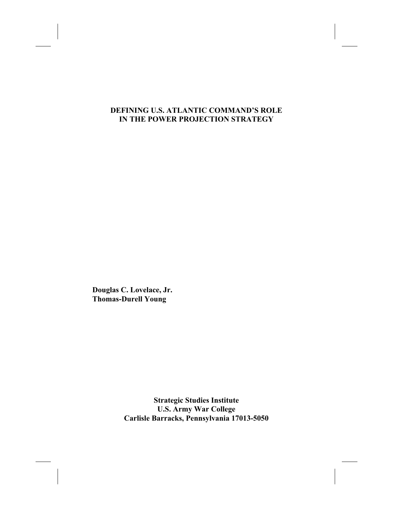### **DEFINING U.S. ATLANTIC COMMAND'S ROLE IN THE POWER PROJECTION STRATEGY**

**Douglas C. Lovelace, Jr. Thomas-Durell Young**

> **Strategic Studies Institute U.S. Army War College Carlisle Barracks, Pennsylvania 17013-5050**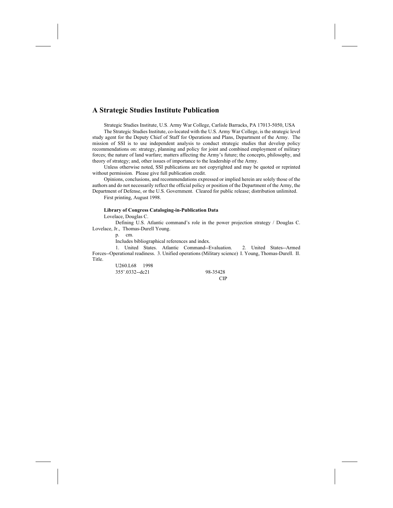#### **A Strategic Studies Institute Publication**

Strategic Studies Institute, U.S. Army War College, Carlisle Barracks, PA 17013-5050, USA

The Strategic Studies Institute, co-located with the U.S. Army War College, is the strategic level study agent for the Deputy Chief of Staff for Operations and Plans, Department of the Army. The mission of SSI is to use independent analysis to conduct strategic studies that develop policy recommendations on: strategy, planning and policy for joint and combined employment of military forces; the nature of land warfare; matters affecting the Army's future; the concepts, philosophy, and theory of strategy; and, other issues of importance to the leadership of the Army.

Unless otherwise noted, SSI publications are not copyrighted and may be quoted or reprinted without permission. Please give full publication credit.

Opinions, conclusions, and recommendations expressed or implied herein are solely those of the authors and do not necessarily reflect the official policy or position of the Department of the Army, the Department of Defense, or the U.S. Government. Cleared for public release; distribution unlimited.

First printing, August 1998.

#### **Library of Congress Cataloging-in-Publication Data**

Lovelace, Douglas C.

Defining U.S. Atlantic command's role in the power projection strategy / Douglas C. Lovelace, Jr., Thomas-Durell Young.

p. cm.

Includes bibliographical references and index.

1. United States. Atlantic Command--Evaluation. 2. United States--Armed Forces--Operational readiness. 3. Unified operations (Military science) I. Young, Thomas-Durell. II. Title.

> U260.L68 1998 355'.0332--dc21 98-35428

CIP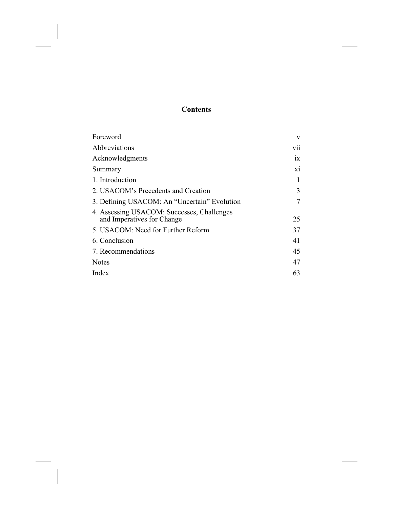## **Contents**

| Foreword                                                                 | V   |
|--------------------------------------------------------------------------|-----|
| Abbreviations                                                            | vii |
| Acknowledgments                                                          | 1X  |
| Summary                                                                  | xi  |
| 1. Introduction                                                          | 1   |
| 2. USACOM's Precedents and Creation                                      | 3   |
| 3. Defining USACOM: An "Uncertain" Evolution                             | 7   |
| 4. Assessing USACOM: Successes, Challenges<br>and Imperatives for Change | 25  |
| 5. USACOM: Need for Further Reform                                       | 37  |
| 6. Conclusion                                                            | 41  |
| 7. Recommendations                                                       | 45  |
| <b>Notes</b>                                                             | 47  |
| Index                                                                    | 63  |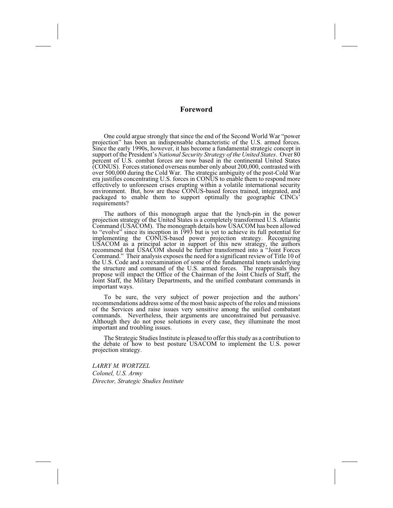### **Foreword**

One could argue strongly that since the end of the Second World War "power projection" has been an indispensable characteristic of the U.S. armed forces. Since the early 1990s, however, it has become a fundamental strategic concept in support of the President's *National Security Strategy of the United States*. Over 80 percent of U.S. combat forces are now based in the continental United States (CONUS). Forces stationed overseas number only about 200,000, contrasted with over 500,000 during the Cold War. The strategic ambiguity of the post-Cold War era justifies concentrating U.S. forces in CONUS to enable them to respond more effectively to unforeseen crises erupting within a volatile international security environment. But, how are these CONUS-based forces trained, integrated, and packaged to enable them to support optimally the geographic CINCs' requirements?

The authors of this monograph argue that the lynch-pin in the power projection strategy of the United States is a completely transformed U.S. Atlantic Command (USACOM). The monograph details how USACOM has been allowed to "evolve" since its inception in 1993 but is yet to achieve its full potential for implementing the CONUS-based power projection strategy. Recognizing USACOM as a principal actor in support of this new strategy, the authors recommend that USACOM should be further transformed into a "Joint Forces Command." Their analysis exposes the need for a significant review of Title 10 of the U.S. Code and a reexamination of some of the fundamental tenets underlying the structure and command of the U.S. armed forces. The reappraisals they propose will impact the Office of the Chairman of the Joint Chiefs of Staff, the Joint Staff, the Military Departments, and the unified combatant commands in important ways.

To be sure, the very subject of power projection and the authors' recommendations address some of the most basic aspects of the roles and missions of the Services and raise issues very sensitive among the unified combatant commands. Nevertheless, their arguments are unconstrained but persuasive. Although they do not pose solutions in every case, they illuminate the most important and troubling issues.

The Strategic Studies Institute is pleased to offer this study as a contribution to the debate of how to best posture USACOM to implement the U.S. power projection strategy.

*LARRY M. WORTZEL Colonel, U.S. Army Director, Strategic Studies Institute*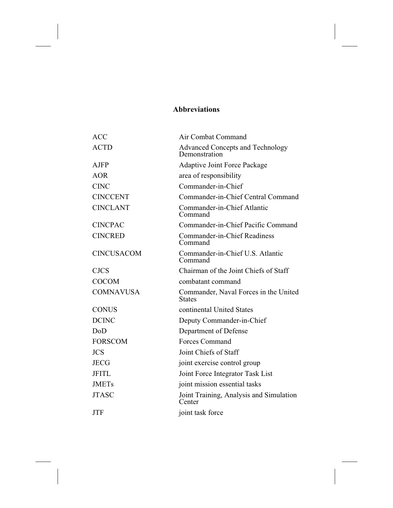### **Abbreviations**

| <b>ACC</b>        | Air Combat Command                                       |
|-------------------|----------------------------------------------------------|
| <b>ACTD</b>       | <b>Advanced Concepts and Technology</b><br>Demonstration |
| <b>AJFP</b>       | <b>Adaptive Joint Force Package</b>                      |
| <b>AOR</b>        | area of responsibility                                   |
| <b>CINC</b>       | Commander-in-Chief                                       |
| <b>CINCCENT</b>   | Commander-in-Chief Central Command                       |
| <b>CINCLANT</b>   | Commander-in-Chief Atlantic<br>Command                   |
| <b>CINCPAC</b>    | Commander-in-Chief Pacific Command                       |
| <b>CINCRED</b>    | Commander-in-Chief Readiness<br>Command                  |
| <b>CINCUSACOM</b> | Commander-in-Chief U.S. Atlantic<br>Command              |
| <b>CJCS</b>       | Chairman of the Joint Chiefs of Staff                    |
| <b>COCOM</b>      | combatant command                                        |
| <b>COMNAVUSA</b>  | Commander, Naval Forces in the United<br><b>States</b>   |
| <b>CONUS</b>      | continental United States                                |
| <b>DCINC</b>      | Deputy Commander-in-Chief                                |
| DoD               | Department of Defense                                    |
| <b>FORSCOM</b>    | Forces Command                                           |
| <b>JCS</b>        | Joint Chiefs of Staff                                    |
| <b>JECG</b>       | joint exercise control group                             |
| <b>JFITL</b>      | Joint Force Integrator Task List                         |
| <b>JMETs</b>      | joint mission essential tasks                            |
| <b>JTASC</b>      | Joint Training, Analysis and Simulation<br>Center        |
| <b>JTF</b>        | joint task force                                         |
|                   |                                                          |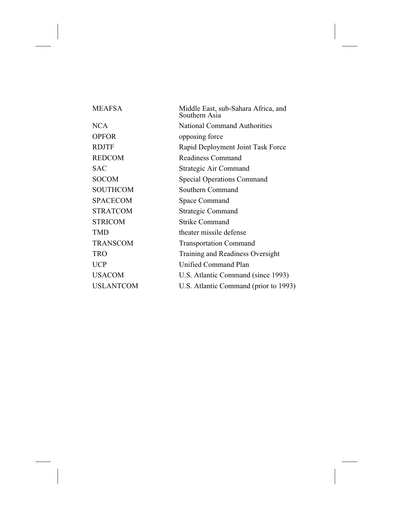| <b>MEAFSA</b>    | Middle East, sub-Sahara Africa, and<br>Southern Asia |
|------------------|------------------------------------------------------|
| <b>NCA</b>       | <b>National Command Authorities</b>                  |
| <b>OPFOR</b>     | opposing force                                       |
| <b>RDJTF</b>     | Rapid Deployment Joint Task Force                    |
| <b>REDCOM</b>    | Readiness Command                                    |
| <b>SAC</b>       | Strategic Air Command                                |
| <b>SOCOM</b>     | <b>Special Operations Command</b>                    |
| <b>SOUTHCOM</b>  | Southern Command                                     |
| <b>SPACECOM</b>  | Space Command                                        |
| <b>STRATCOM</b>  | <b>Strategic Command</b>                             |
| <b>STRICOM</b>   | <b>Strike Command</b>                                |
| <b>TMD</b>       | theater missile defense                              |
| <b>TRANSCOM</b>  | <b>Transportation Command</b>                        |
| <b>TRO</b>       | Training and Readiness Oversight                     |
| <b>UCP</b>       | <b>Unified Command Plan</b>                          |
| <b>USACOM</b>    | U.S. Atlantic Command (since 1993)                   |
| <b>USLANTCOM</b> | U.S. Atlantic Command (prior to 1993)                |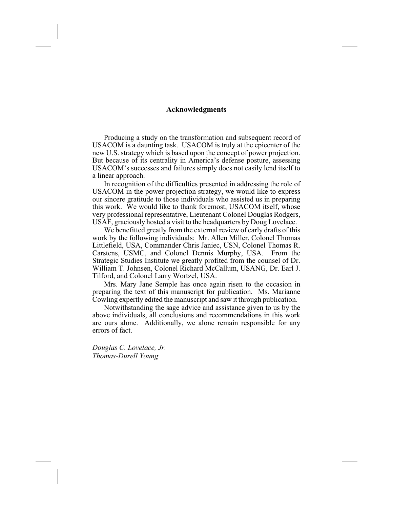### **Acknowledgments**

Producing a study on the transformation and subsequent record of USACOM is a daunting task. USACOM is truly at the epicenter of the new U.S. strategy which is based upon the concept of power projection. But because of its centrality in America's defense posture, assessing USACOM's successes and failures simply does not easily lend itself to a linear approach.

In recognition of the difficulties presented in addressing the role of USACOM in the power projection strategy, we would like to express our sincere gratitude to those individuals who assisted us in preparing this work. We would like to thank foremost, USACOM itself, whose very professional representative, Lieutenant Colonel Douglas Rodgers, USAF, graciously hosted a visit to the headquarters by Doug Lovelace.

We benefitted greatly from the external review of early drafts of this work by the following individuals: Mr. Allen Miller, Colonel Thomas Littlefield, USA, Commander Chris Janiec, USN, Colonel Thomas R. Carstens, USMC, and Colonel Dennis Murphy, USA. From the Strategic Studies Institute we greatly profited from the counsel of Dr. William T. Johnsen, Colonel Richard McCallum, USANG, Dr. Earl J. Tilford, and Colonel Larry Wortzel, USA.

Mrs. Mary Jane Semple has once again risen to the occasion in preparing the text of this manuscript for publication. Ms. Marianne Cowling expertly edited the manuscript and saw it through publication.

Notwithstanding the sage advice and assistance given to us by the above individuals, all conclusions and recommendations in this work are ours alone. Additionally, we alone remain responsible for any errors of fact.

*Douglas C. Lovelace, Jr. Thomas-Durell Young*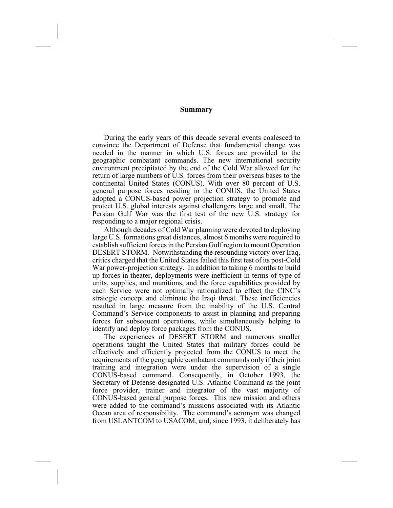#### **Summary**

During the early years of this decade several events coalesced to convince the Department of Defense that fundamental change was needed in the manner in which U.S. forces are provided to the geographic combatant commands. The new international security environment precipitated by the end of the Cold War allowed for the return of large numbers of U.S. forces from their overseas bases to the continental United States (CONUS). With over 80 percent of U.S. general purpose forces residing in the CONUS, the United States adopted a CONUS-based power projection strategy to promote and protect U.S. global interests against challengers large and small. The Persian Gulf War was the first test of the new U.S. strategy for responding to a major regional crisis.

Although decades of Cold War planning were devoted to deploying large U.S. formations great distances, almost 6 months were required to establish sufficient forces in the Persian Gulf region to mount Operation DESERT STORM. Notwithstanding the resounding victory over Iraq, critics charged that the United States failed this first test of its post-Cold War power-projection strategy. In addition to taking 6 months to build up forces in theater, deployments were inefficient in terms of type of units, supplies, and munitions, and the force capabilities provided by each Service were not optimally rationalized to effect the CINC's strategic concept and eliminate the Iraqi threat. These inefficiencies resulted in large measure from the inability of the U.S. Central Command's Service components to assist in planning and preparing forces for subsequent operations, while simultaneously helping to identify and deploy force packages from the CONUS.

The experiences of DESERT STORM and numerous smaller operations taught the United States that military forces could be effectively and efficiently projected from the CONUS to meet the requirements of the geographic combatant commands only if their joint training and integration were under the supervision of a single CONUS-based command. Consequently, in October 1993, the Secretary of Defense designated U.S. Atlantic Command as the joint force provider, trainer and integrator of the vast majority of CONUS-based general purpose forces. This new mission and others were added to the command's missions associated with its Atlantic Ocean area of responsibility. The command's acronym was changed from USLANTCOM to USACOM, and, since 1993, it deliberately has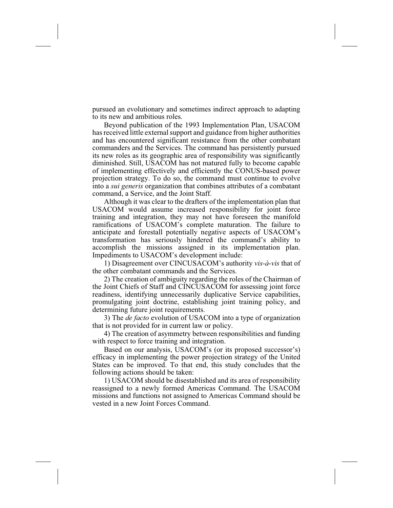pursued an evolutionary and sometimes indirect approach to adapting to its new and ambitious roles.

Beyond publication of the 1993 Implementation Plan, USACOM has received little external support and guidance from higher authorities and has encountered significant resistance from the other combatant commanders and the Services. The command has persistently pursued its new roles as its geographic area of responsibility was significantly diminished. Still, USACOM has not matured fully to become capable of implementing effectively and efficiently the CONUS-based power projection strategy. To do so, the command must continue to evolve into a *sui generis* organization that combines attributes of a combatant command, a Service, and the Joint Staff.

Although it was clear to the drafters of the implementation plan that USACOM would assume increased responsibility for joint force training and integration, they may not have foreseen the manifold ramifications of USACOM's complete maturation. The failure to anticipate and forestall potentially negative aspects of USACOM's transformation has seriously hindered the command's ability to accomplish the missions assigned in its implementation plan. Impediments to USACOM's development include:

1) Disagreement over CINCUSACOM's authority *vis-à-vis* that of the other combatant commands and the Services.

2) The creation of ambiguity regarding the roles of the Chairman of the Joint Chiefs of Staff and CINCUSACOM for assessing joint force readiness, identifying unnecessarily duplicative Service capabilities, promulgating joint doctrine, establishing joint training policy, and determining future joint requirements.

3) The *de facto* evolution of USACOM into a type of organization that is not provided for in current law or policy.

4) The creation of asymmetry between responsibilities and funding with respect to force training and integration.

Based on our analysis, USACOM's (or its proposed successor's) efficacy in implementing the power projection strategy of the United States can be improved. To that end, this study concludes that the following actions should be taken:

1) USACOM should be disestablished and its area of responsibility reassigned to a newly formed Americas Command. The USACOM missions and functions not assigned to Americas Command should be vested in a new Joint Forces Command.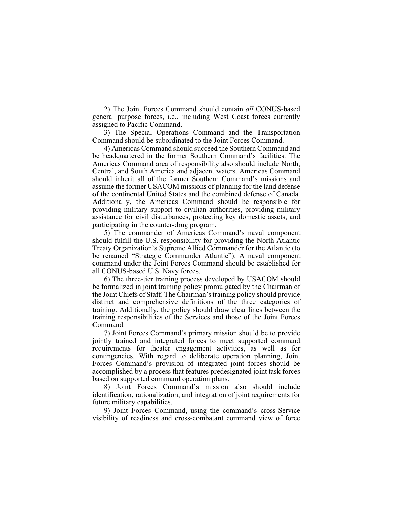2) The Joint Forces Command should contain *all* CONUS-based general purpose forces, i.e., including West Coast forces currently assigned to Pacific Command.

3) The Special Operations Command and the Transportation Command should be subordinated to the Joint Forces Command.

4) Americas Command should succeed the Southern Command and be headquartered in the former Southern Command's facilities. The Americas Command area of responsibility also should include North, Central, and South America and adjacent waters. Americas Command should inherit all of the former Southern Command's missions and assume the former USACOM missions of planning for the land defense of the continental United States and the combined defense of Canada. Additionally, the Americas Command should be responsible for providing military support to civilian authorities, providing military assistance for civil disturbances, protecting key domestic assets, and participating in the counter-drug program.

5) The commander of Americas Command's naval component should fulfill the U.S. responsibility for providing the North Atlantic Treaty Organization's Supreme Allied Commander for the Atlantic (to be renamed "Strategic Commander Atlantic"). A naval component command under the Joint Forces Command should be established for all CONUS-based U.S. Navy forces.

6) The three-tier training process developed by USACOM should be formalized in joint training policy promulgated by the Chairman of the Joint Chiefs of Staff. The Chairman's training policy should provide distinct and comprehensive definitions of the three categories of training. Additionally, the policy should draw clear lines between the training responsibilities of the Services and those of the Joint Forces Command.

7) Joint Forces Command's primary mission should be to provide jointly trained and integrated forces to meet supported command requirements for theater engagement activities, as well as for contingencies. With regard to deliberate operation planning, Joint Forces Command's provision of integrated joint forces should be accomplished by a process that features predesignated joint task forces based on supported command operation plans.

8) Joint Forces Command's mission also should include identification, rationalization, and integration of joint requirements for future military capabilities.

9) Joint Forces Command, using the command's cross-Service visibility of readiness and cross-combatant command view of force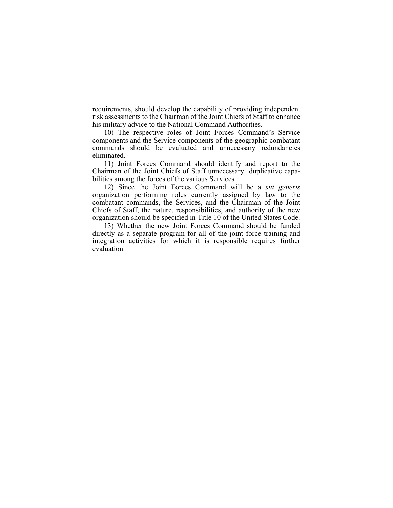requirements, should develop the capability of providing independent risk assessments to the Chairman of the Joint Chiefs of Staff to enhance his military advice to the National Command Authorities.

10) The respective roles of Joint Forces Command's Service components and the Service components of the geographic combatant commands should be evaluated and unnecessary redundancies eliminated.

11) Joint Forces Command should identify and report to the Chairman of the Joint Chiefs of Staff unnecessary duplicative capabilities among the forces of the various Services.

12) Since the Joint Forces Command will be a *sui generis* organization performing roles currently assigned by law to the combatant commands, the Services, and the Chairman of the Joint Chiefs of Staff, the nature, responsibilities, and authority of the new organization should be specified in Title 10 of the United States Code.

13) Whether the new Joint Forces Command should be funded directly as a separate program for all of the joint force training and integration activities for which it is responsible requires further evaluation.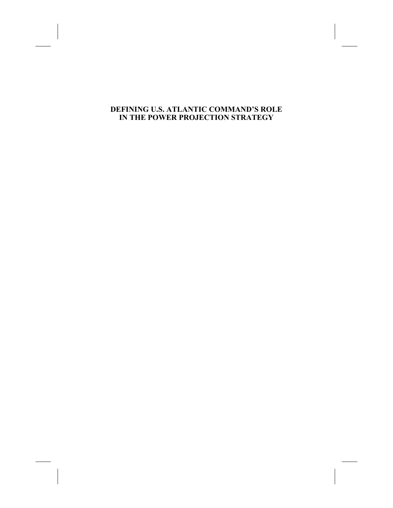### **DEFINING U.S. ATLANTIC COMMAND'S ROLE IN THE POWER PROJECTION STRATEGY**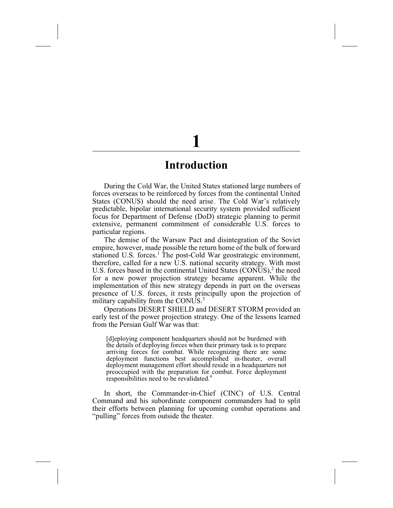## **Introduction**

During the Cold War, the United States stationed large numbers of forces overseas to be reinforced by forces from the continental United States (CONUS) should the need arise. The Cold War's relatively predictable, bipolar international security system provided sufficient focus for Department of Defense (DoD) strategic planning to permit extensive, permanent commitment of considerable U.S. forces to particular regions.

The demise of the Warsaw Pact and disintegration of the Soviet empire, however, made possible the return home of the bulk of forward stationed U.S. forces.<sup>1</sup> The post-Cold War geostrategic environment, therefore, called for a new U.S. national security strategy. With most U.S. forces based in the continental United States  $(CONUS)$ , the need for a new power projection strategy became apparent. While the implementation of this new strategy depends in part on the overseas presence of U.S. forces, it rests principally upon the projection of military capability from the CONUS.<sup>3</sup>

Operations DESERT SHIELD and DESERT STORM provided an early test of the power projection strategy. One of the lessons learned from the Persian Gulf War was that:

[d]eploying component headquarters should not be burdened with the details of deploying forces when their primary task is to prepare arriving forces for combat. While recognizing there are some deployment functions best accomplished in-theater, overall deployment management effort should reside in a headquarters not preoccupied with the preparation for combat. Force deployment responsibilities need to be revalidated.<sup>4</sup>

In short, the Commander-in-Chief (CINC) of U.S. Central Command and his subordinate component commanders had to split their efforts between planning for upcoming combat operations and "pulling" forces from outside the theater.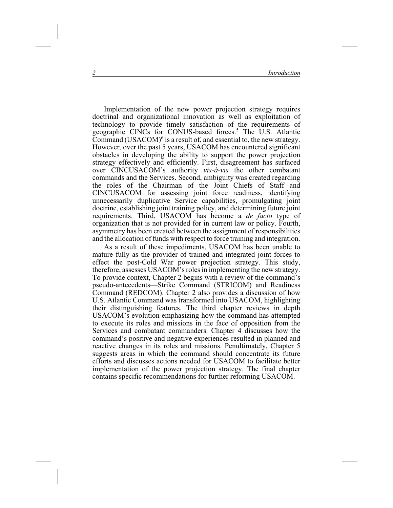Implementation of the new power projection strategy requires doctrinal and organizational innovation as well as exploitation of technology to provide timely satisfaction of the requirements of geographic CINCs for CONUS-based forces.<sup>5</sup> The U.S. Atlantic Command  $(USACOM)^6$  is a result of, and essential to, the new strategy. However, over the past 5 years, USACOM has encountered significant obstacles in developing the ability to support the power projection strategy effectively and efficiently. First, disagreement has surfaced over CINCUSACOM's authority *vis-à-vis* the other combatant commands and the Services. Second, ambiguity was created regarding the roles of the Chairman of the Joint Chiefs of Staff and CINCUSACOM for assessing joint force readiness, identifying unnecessarily duplicative Service capabilities, promulgating joint doctrine, establishing joint training policy, and determining future joint requirements. Third, USACOM has become a *de facto* type of organization that is not provided for in current law or policy. Fourth, asymmetry has been created between the assignment of responsibilities and the allocation of funds with respect to force training and integration.

As a result of these impediments, USACOM has been unable to mature fully as the provider of trained and integrated joint forces to effect the post-Cold War power projection strategy. This study, therefore, assesses USACOM's roles in implementing the new strategy. To provide context, Chapter 2 begins with a review of the command's pseudo-antecedents—Strike Command (STRICOM) and Readiness Command (REDCOM). Chapter 2 also provides a discussion of how U.S. Atlantic Command was transformed into USACOM, highlighting their distinguishing features. The third chapter reviews in depth USACOM's evolution emphasizing how the command has attempted to execute its roles and missions in the face of opposition from the Services and combatant commanders. Chapter 4 discusses how the command's positive and negative experiences resulted in planned and reactive changes in its roles and missions. Penultimately, Chapter 5 suggests areas in which the command should concentrate its future efforts and discusses actions needed for USACOM to facilitate better implementation of the power projection strategy. The final chapter contains specific recommendations for further reforming USACOM.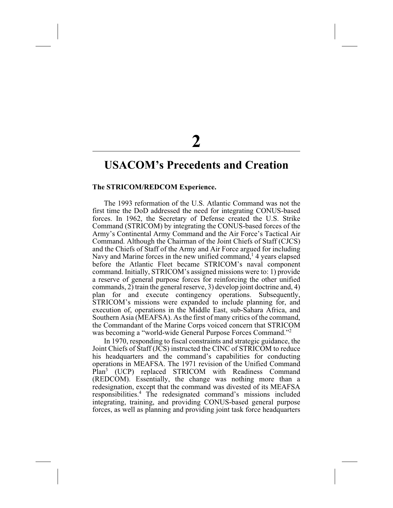## **USACOM's Precedents and Creation**

### **The STRICOM/REDCOM Experience.**

The 1993 reformation of the U.S. Atlantic Command was not the first time the DoD addressed the need for integrating CONUS-based forces. In 1962, the Secretary of Defense created the U.S. Strike Command (STRICOM) by integrating the CONUS-based forces of the Army's Continental Army Command and the Air Force's Tactical Air Command. Although the Chairman of the Joint Chiefs of Staff (CJCS) and the Chiefs of Staff of the Army and Air Force argued for including Navy and Marine forces in the new unified command,<sup>1</sup> 4 years elapsed before the Atlantic Fleet became STRICOM's naval component command. Initially, STRICOM's assigned missions were to: 1) provide a reserve of general purpose forces for reinforcing the other unified commands, 2) train the general reserve, 3) develop joint doctrine and, 4) plan for and execute contingency operations. Subsequently, STRICOM's missions were expanded to include planning for, and execution of, operations in the Middle East, sub-Sahara Africa, and Southern Asia (MEAFSA). As the first of many critics of the command, the Commandant of the Marine Corps voiced concern that STRICOM was becoming a "world-wide General Purpose Forces Command."<sup>2</sup>

In 1970, responding to fiscal constraints and strategic guidance, the Joint Chiefs of Staff (JCS) instructed the CINC of STRICOM to reduce his headquarters and the command's capabilities for conducting operations in MEAFSA. The 1971 revision of the Unified Command<br>Plan<sup>3</sup> (UCP) replaced STRICOM with Readiness Command (UCP) replaced STRICOM with Readiness Command (REDCOM). Essentially, the change was nothing more than a redesignation, except that the command was divested of its MEAFSA responsibilities.4 The redesignated command's missions included integrating, training, and providing CONUS-based general purpose forces, as well as planning and providing joint task force headquarters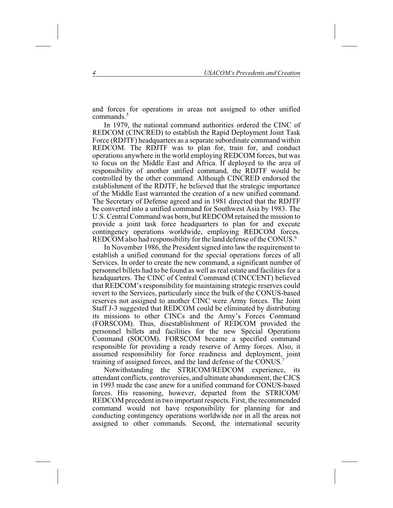and forces for operations in areas not assigned to other unified commands.<sup>5</sup>

In 1979, the national command authorities ordered the CINC of REDCOM (CINCRED) to establish the Rapid Deployment Joint Task Force (RDJTF) headquarters as a separate subordinate command within REDCOM. The RDJTF was to plan for, train for, and conduct operations anywhere in the world employing REDCOM forces, but was to focus on the Middle East and Africa. If deployed to the area of responsibility of another unified command, the RDJTF would be controlled by the other command. Although CINCRED endorsed the establishment of the RDJTF, he believed that the strategic importance of the Middle East warranted the creation of a new unified command. The Secretary of Defense agreed and in 1981 directed that the RDJTF be converted into a unified command for Southwest Asia by 1983. The U.S. Central Command was born, but REDCOM retained the mission to provide a joint task force headquarters to plan for and execute contingency operations worldwide, employing REDCOM forces. REDCOM also had responsibility for the land defense of the CONUS.<sup>6</sup>

In November 1986, the President signed into law the requirement to establish a unified command for the special operations forces of all Services. In order to create the new command, a significant number of personnel billets had to be found as well as real estate and facilities for a headquarters. The CINC of Central Command (CINCCENT) believed that REDCOM's responsibility for maintaining strategic reserves could revert to the Services, particularly since the bulk of the CONUS-based reserves not assigned to another CINC were Army forces. The Joint Staff J-3 suggested that REDCOM could be eliminated by distributing its missions to other CINCs and the Army's Forces Command (FORSCOM). Thus, disestablishment of REDCOM provided the personnel billets and facilities for the new Special Operations Command (SOCOM). FORSCOM became a specified command responsible for providing a ready reserve of Army forces. Also, it assumed responsibility for force readiness and deployment, joint training of assigned forces, and the land defense of the CONUS.7

Notwithstanding the STRICOM/REDCOM experience, its attendant conflicts, controversies, and ultimate abandonment, the CJCS in 1993 made the case anew for a unified command for CONUS-based forces. His reasoning, however, departed from the STRICOM/ REDCOM precedent in two important respects. First, the recommended command would not have responsibility for planning for and conducting contingency operations worldwide nor in all the areas not assigned to other commands. Second, the international security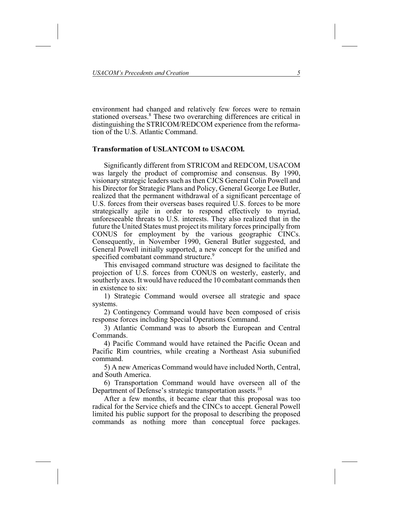environment had changed and relatively few forces were to remain stationed overseas.<sup>8</sup> These two overarching differences are critical in distinguishing the STRICOM/REDCOM experience from the reformation of the U.S. Atlantic Command.

### **Transformation of USLANTCOM to USACOM***.*

Significantly different from STRICOM and REDCOM, USACOM was largely the product of compromise and consensus. By 1990, visionary strategic leaders such as then CJCS General Colin Powell and his Director for Strategic Plans and Policy, General George Lee Butler, realized that the permanent withdrawal of a significant percentage of U.S. forces from their overseas bases required U.S. forces to be more strategically agile in order to respond effectively to myriad, unforeseeable threats to U.S. interests. They also realized that in the future the United States must project its military forces principally from CONUS for employment by the various geographic CINCs. Consequently, in November 1990, General Butler suggested, and General Powell initially supported, a new concept for the unified and specified combatant command structure.<sup>9</sup>

This envisaged command structure was designed to facilitate the projection of U.S. forces from CONUS on westerly, easterly, and southerly axes. It would have reduced the 10 combatant commands then in existence to six:

1) Strategic Command would oversee all strategic and space systems.

2) Contingency Command would have been composed of crisis response forces including Special Operations Command.

3) Atlantic Command was to absorb the European and Central Commands.

4) Pacific Command would have retained the Pacific Ocean and Pacific Rim countries, while creating a Northeast Asia subunified command.

5) A new Americas Command would have included North, Central, and South America.

6) Transportation Command would have overseen all of the Department of Defense's strategic transportation assets.<sup>10</sup>

After a few months, it became clear that this proposal was too radical for the Service chiefs and the CINCs to accept. General Powell limited his public support for the proposal to describing the proposed commands as nothing more than conceptual force packages.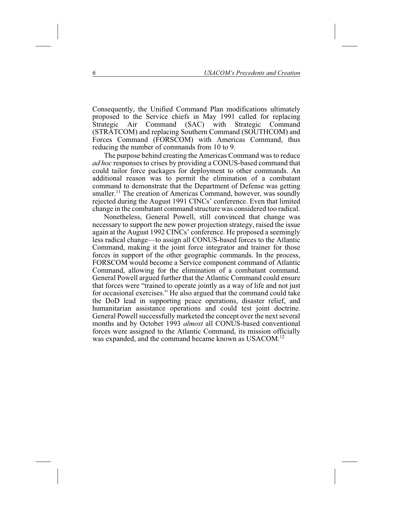Consequently, the Unified Command Plan modifications ultimately proposed to the Service chiefs in May 1991 called for replacing<br>Strategic Air Command (SAC) with Strategic Command Strategic Air Command (SAC) with Strategic Command (STRATCOM) and replacing Southern Command (SOUTHCOM) and Forces Command (FORSCOM) with Americas Command, thus reducing the number of commands from 10 to 9.

The purpose behind creating the Americas Command was to reduce *ad hoc* responses to crises by providing a CONUS-based command that could tailor force packages for deployment to other commands. An additional reason was to permit the elimination of a combatant command to demonstrate that the Department of Defense was getting smaller.<sup>11</sup> The creation of Americas Command, however, was soundly rejected during the August 1991 CINCs' conference. Even that limited change in the combatant command structure was considered too radical.

Nonetheless, General Powell, still convinced that change was necessary to support the new power projection strategy, raised the issue again at the August 1992 CINCs' conference. He proposed a seemingly less radical change—to assign all CONUS-based forces to the Atlantic Command, making it the joint force integrator and trainer for those forces in support of the other geographic commands. In the process, FORSCOM would become a Service component command of Atlantic Command, allowing for the elimination of a combatant command. General Powell argued further that the Atlantic Command could ensure that forces were "trained to operate jointly as a way of life and not just for occasional exercises." He also argued that the command could take the DoD lead in supporting peace operations, disaster relief, and humanitarian assistance operations and could test joint doctrine. General Powell successfully marketed the concept over the next several months and by October 1993 *almost* all CONUS-based conventional forces were assigned to the Atlantic Command, its mission officially was expanded, and the command became known as USACOM.<sup>12</sup>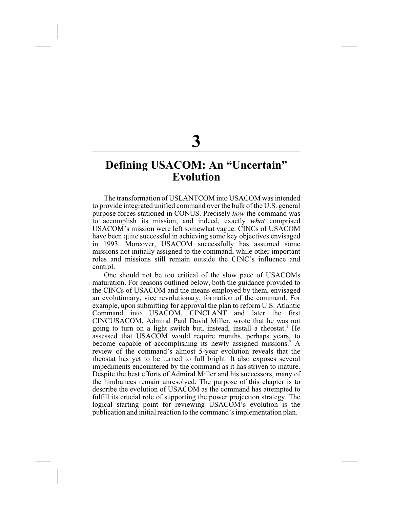# **Defining USACOM: An "Uncertain" Evolution**

The transformation of USLANTCOM into USACOM was intended to provide integrated unified command over the bulk of the U.S. general purpose forces stationed in CONUS. Precisely *how* the command was to accomplish its mission, and indeed, exactly *what* comprised USACOM's mission were left somewhat vague. CINCs of USACOM have been quite successful in achieving some key objectives envisaged in 1993. Moreover, USACOM successfully has assumed some missions not initially assigned to the command, while other important roles and missions still remain outside the CINC's influence and control.

One should not be too critical of the slow pace of USACOMs maturation. For reasons outlined below, both the guidance provided to the CINCs of USACOM and the means employed by them, envisaged an evolutionary, vice revolutionary, formation of the command. For example, upon submitting for approval the plan to reform U.S. Atlantic Command into USACOM, CINCLANT and later the first CINCUSACOM, Admiral Paul David Miller, wrote that he was not going to turn on a light switch but, instead, install a rheostat.<sup>1</sup> He assessed that USACOM would require months, perhaps years, to become capable of accomplishing its newly assigned missions.<sup>2</sup> A review of the command's almost 5-year evolution reveals that the rheostat has yet to be turned to full bright. It also exposes several impediments encountered by the command as it has striven to mature. Despite the best efforts of Admiral Miller and his successors, many of the hindrances remain unresolved. The purpose of this chapter is to describe the evolution of USACOM as the command has attempted to fulfill its crucial role of supporting the power projection strategy. The logical starting point for reviewing USACOM's evolution is the publication and initial reaction to the command's implementation plan.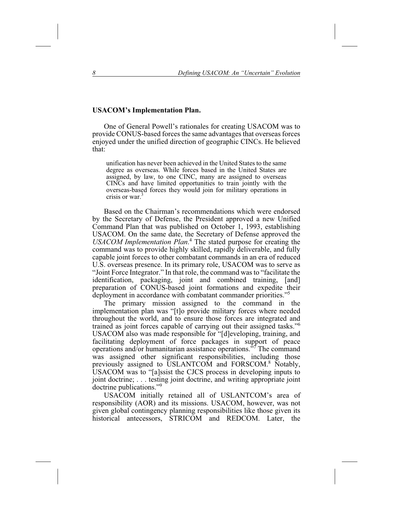### **USACOM's Implementation Plan.**

One of General Powell's rationales for creating USACOM was to provide CONUS-based forces the same advantages that overseas forces enjoyed under the unified direction of geographic CINCs. He believed that:

unification has never been achieved in the United States to the same degree as overseas. While forces based in the United States are assigned, by law, to one CINC, many are assigned to overseas CINCs and have limited opportunities to train jointly with the overseas-based forces they would join for military operations in crisis or war.<sup>3</sup>

Based on the Chairman's recommendations which were endorsed by the Secretary of Defense, the President approved a new Unified Command Plan that was published on October 1, 1993, establishing USACOM. On the same date, the Secretary of Defense approved the *USACOM Implementation Plan*. <sup>4</sup> The stated purpose for creating the command was to provide highly skilled, rapidly deliverable, and fully capable joint forces to other combatant commands in an era of reduced U.S. overseas presence. In its primary role, USACOM was to serve as "Joint Force Integrator." In that role, the command was to "facilitate the identification, packaging, joint and combined training, [and] preparation of CONUS-based joint formations and expedite their deployment in accordance with combatant commander priorities."5

The primary mission assigned to the command in the implementation plan was "[t]o provide military forces where needed throughout the world, and to ensure those forces are integrated and trained as joint forces capable of carrying out their assigned tasks."6 USACOM also was made responsible for "[d]eveloping, training, and facilitating deployment of force packages in support of peace operations and/or humanitarian assistance operations."7 The command was assigned other significant responsibilities, including those previously assigned to USLANTCOM and FORSCOM.8 Notably, USACOM was to "[a]ssist the CJCS process in developing inputs to joint doctrine;... testing joint doctrine, and writing appropriate joint doctrine publications."9

USACOM initially retained all of USLANTCOM's area of responsibility (AOR) and its missions. USACOM, however, was not given global contingency planning responsibilities like those given its historical antecessors, STRICOM and REDCOM. Later, the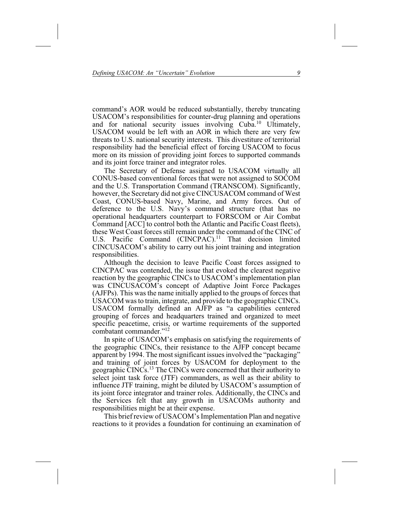command's AOR would be reduced substantially, thereby truncating USACOM's responsibilities for counter-drug planning and operations and for national security issues involving Cuba.<sup>10</sup> Ultimately, USACOM would be left with an AOR in which there are very few threats to U.S. national security interests. This divestiture of territorial responsibility had the beneficial effect of forcing USACOM to focus more on its mission of providing joint forces to supported commands and its joint force trainer and integrator roles.

The Secretary of Defense assigned to USACOM virtually all CONUS-based conventional forces that were not assigned to SOCOM and the U.S. Transportation Command (TRANSCOM). Significantly, however, the Secretary did not give CINCUSACOM command of West Coast, CONUS-based Navy, Marine, and Army forces. Out of deference to the U.S. Navy's command structure (that has no operational headquarters counterpart to FORSCOM or Air Combat Command [ACC] to control both the Atlantic and Pacific Coast fleets), these West Coast forces still remain under the command of the CINC of U.S. Pacific Command  $(CINCPAC)$ .<sup>11</sup> That decision limited CINCUSACOM's ability to carry out his joint training and integration responsibilities.

Although the decision to leave Pacific Coast forces assigned to CINCPAC was contended, the issue that evoked the clearest negative reaction by the geographic CINCs to USACOM's implementation plan was CINCUSACOM's concept of Adaptive Joint Force Packages (AJFPs). This was the name initially applied to the groups of forces that USACOM was to train, integrate, and provide to the geographic CINCs. USACOM formally defined an AJFP as "a capabilities centered grouping of forces and headquarters trained and organized to meet specific peacetime, crisis, or wartime requirements of the supported combatant commander."<sup>12</sup>

In spite of USACOM's emphasis on satisfying the requirements of the geographic CINCs, their resistance to the AJFP concept became apparent by 1994. The most significant issues involved the "packaging" and training of joint forces by USACOM for deployment to the geographic CINCs.<sup>13</sup> The CINCs were concerned that their authority to select joint task force (JTF) commanders, as well as their ability to influence JTF training, might be diluted by USACOM's assumption of its joint force integrator and trainer roles. Additionally, the CINCs and the Services felt that any growth in USACOMs authority and responsibilities might be at their expense.

This brief review of USACOM's Implementation Plan and negative reactions to it provides a foundation for continuing an examination of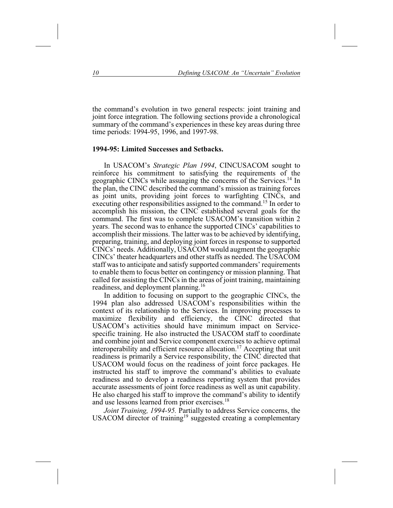the command's evolution in two general respects: joint training and joint force integration. The following sections provide a chronological summary of the command's experiences in these key areas during three time periods: 1994-95, 1996, and 1997-98.

### **1994-95: Limited Successes and Setbacks.**

In USACOM's *Strategic Plan 1994*, CINCUSACOM sought to reinforce his commitment to satisfying the requirements of the geographic CINCs while assuaging the concerns of the Services.14 In the plan, the CINC described the command's mission as training forces as joint units, providing joint forces to warfighting CINCs, and executing other responsibilities assigned to the command.<sup>15</sup> In order to accomplish his mission, the CINC established several goals for the command. The first was to complete USACOM's transition within 2 years. The second was to enhance the supported CINCs' capabilities to accomplish their missions. The latter was to be achieved by identifying, preparing, training, and deploying joint forces in response to supported CINCs' needs. Additionally, USACOM would augment the geographic CINCs' theater headquarters and other staffs as needed. The USACOM staff was to anticipate and satisfy supported commanders' requirements to enable them to focus better on contingency or mission planning. That called for assisting the CINCs in the areas of joint training, maintaining readiness, and deployment planning.16

In addition to focusing on support to the geographic CINCs, the 1994 plan also addressed USACOM's responsibilities within the context of its relationship to the Services. In improving processes to maximize flexibility and efficiency, the CINC directed that USACOM's activities should have minimum impact on Servicespecific training. He also instructed the USACOM staff to coordinate and combine joint and Service component exercises to achieve optimal interoperability and efficient resource allocation.<sup>17</sup> Accepting that unit readiness is primarily a Service responsibility, the CINC directed that USACOM would focus on the readiness of joint force packages. He instructed his staff to improve the command's abilities to evaluate readiness and to develop a readiness reporting system that provides accurate assessments of joint force readiness as well as unit capability. He also charged his staff to improve the command's ability to identify and use lessons learned from prior exercises.18

*Joint Training, 1994-95.* Partially to address Service concerns, the USACOM director of training<sup>19</sup> suggested creating a complementary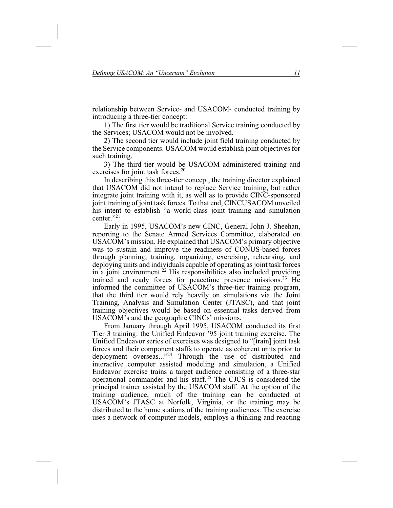relationship between Service- and USACOM- conducted training by introducing a three-tier concept:

1) The first tier would be traditional Service training conducted by the Services; USACOM would not be involved.

2) The second tier would include joint field training conducted by the Service components. USACOM would establish joint objectives for such training.

3) The third tier would be USACOM administered training and exercises for joint task forces.<sup>20</sup>

In describing this three-tier concept, the training director explained that USACOM did not intend to replace Service training, but rather integrate joint training with it, as well as to provide CINC-sponsored joint training of joint task forces. To that end, CINCUSACOM unveiled his intent to establish "a world-class joint training and simulation center."21

Early in 1995, USACOM's new CINC, General John J. Sheehan, reporting to the Senate Armed Services Committee, elaborated on USACOM's mission. He explained that USACOM's primary objective was to sustain and improve the readiness of CONUS-based forces through planning, training, organizing, exercising, rehearsing, and deploying units and individuals capable of operating as joint task forces in a joint environment.<sup>22</sup> His responsibilities also included providing trained and ready forces for peacetime presence missions.<sup>23</sup> He informed the committee of USACOM's three-tier training program, that the third tier would rely heavily on simulations via the Joint Training, Analysis and Simulation Center (JTASC), and that joint training objectives would be based on essential tasks derived from USACOM's and the geographic CINCs' missions.

From January through April 1995, USACOM conducted its first Tier 3 training: the Unified Endeavor '95 joint training exercise. The Unified Endeavor series of exercises was designed to "[train] joint task forces and their component staffs to operate as coherent units prior to deployment overseas..."<sup>24</sup> Through the use of distributed and interactive computer assisted modeling and simulation, a Unified Endeavor exercise trains a target audience consisting of a three-star operational commander and his staff.25 The CJCS is considered the principal trainer assisted by the USACOM staff. At the option of the training audience, much of the training can be conducted at USACOM's JTASC at Norfolk, Virginia, or the training may be distributed to the home stations of the training audiences. The exercise uses a network of computer models, employs a thinking and reacting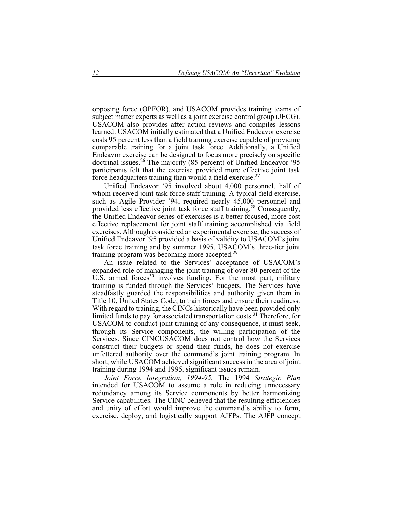opposing force (OPFOR), and USACOM provides training teams of subject matter experts as well as a joint exercise control group (JECG). USACOM also provides after action reviews and compiles lessons learned. USACOM initially estimated that a Unified Endeavor exercise costs 95 percent less than a field training exercise capable of providing comparable training for a joint task force. Additionally, a Unified Endeavor exercise can be designed to focus more precisely on specific doctrinal issues.<sup>26</sup> The majority (85 percent) of Unified Endeavor '95 participants felt that the exercise provided more effective joint task force headquarters training than would a field exercise.<sup>27</sup>

Unified Endeavor '95 involved about 4,000 personnel, half of whom received joint task force staff training. A typical field exercise, such as Agile Provider '94, required nearly 45,000 personnel and provided less effective joint task force staff training.28 Consequently, the Unified Endeavor series of exercises is a better focused, more cost effective replacement for joint staff training accomplished via field exercises. Although considered an experimental exercise, the success of Unified Endeavor '95 provided a basis of validity to USACOM's joint task force training and by summer 1995, USACOM's three-tier joint training program was becoming more accepted.29

An issue related to the Services' acceptance of USACOM's expanded role of managing the joint training of over 80 percent of the U.S. armed forces<sup>30</sup> involves funding. For the most part, military training is funded through the Services' budgets. The Services have steadfastly guarded the responsibilities and authority given them in Title 10, United States Code, to train forces and ensure their readiness. With regard to training, the CINCs historically have been provided only limited funds to pay for associated transportation costs.<sup>31</sup> Therefore, for USACOM to conduct joint training of any consequence, it must seek, through its Service components, the willing participation of the Services. Since CINCUSACOM does not control how the Services construct their budgets or spend their funds, he does not exercise unfettered authority over the command's joint training program. In short, while USACOM achieved significant success in the area of joint training during 1994 and 1995, significant issues remain.

*Joint Force Integration, 1994-95.* The 1994 *Strategic Plan* intended for USACOM to assume a role in reducing unnecessary redundancy among its Service components by better harmonizing Service capabilities. The CINC believed that the resulting efficiencies and unity of effort would improve the command's ability to form, exercise, deploy, and logistically support AJFPs. The AJFP concept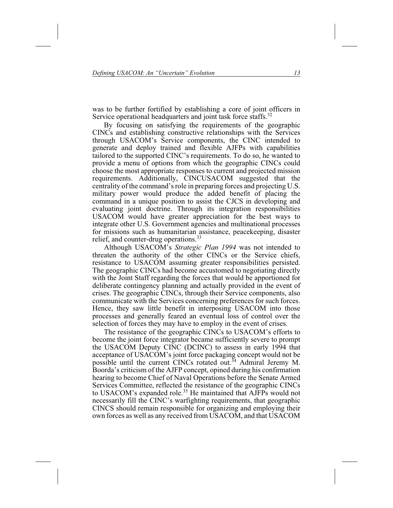was to be further fortified by establishing a core of joint officers in Service operational headquarters and joint task force staffs.<sup>32</sup>

By focusing on satisfying the requirements of the geographic CINCs and establishing constructive relationships with the Services through USACOM's Service components, the CINC intended to generate and deploy trained and flexible AJFPs with capabilities tailored to the supported CINC's requirements. To do so, he wanted to provide a menu of options from which the geographic CINCs could choose the most appropriate responses to current and projected mission requirements. Additionally, CINCUSACOM suggested that the centrality of the command's role in preparing forces and projecting U.S. military power would produce the added benefit of placing the command in a unique position to assist the CJCS in developing and evaluating joint doctrine. Through its integration responsibilities USACOM would have greater appreciation for the best ways to integrate other U.S. Government agencies and multinational processes for missions such as humanitarian assistance, peacekeeping, disaster relief, and counter-drug operations.  $33$ 

Although USACOM's *Strategic Plan 1994* was not intended to threaten the authority of the other CINCs or the Service chiefs, resistance to USACOM assuming greater responsibilities persisted. The geographic CINCs had become accustomed to negotiating directly with the Joint Staff regarding the forces that would be apportioned for deliberate contingency planning and actually provided in the event of crises. The geographic CINCs, through their Service components, also communicate with the Services concerning preferences for such forces. Hence, they saw little benefit in interposing USACOM into those processes and generally feared an eventual loss of control over the selection of forces they may have to employ in the event of crises.

The resistance of the geographic CINCs to USACOM's efforts to become the joint force integrator became sufficiently severe to prompt the USACOM Deputy CINC (DCINC) to assess in early 1994 that acceptance of USACOM's joint force packaging concept would not be possible until the current CINCs rotated out.<sup>34</sup> Admiral Jeremy M. Boorda's criticism of the AJFP concept, opined during his confirmation hearing to become Chief of Naval Operations before the Senate Armed Services Committee, reflected the resistance of the geographic CINCs to USACOM's expanded role.<sup>35</sup> He maintained that AJFPs would not necessarily fill the CINC's warfighting requirements, that geographic CINCS should remain responsible for organizing and employing their own forces as well as any received from USACOM, and that USACOM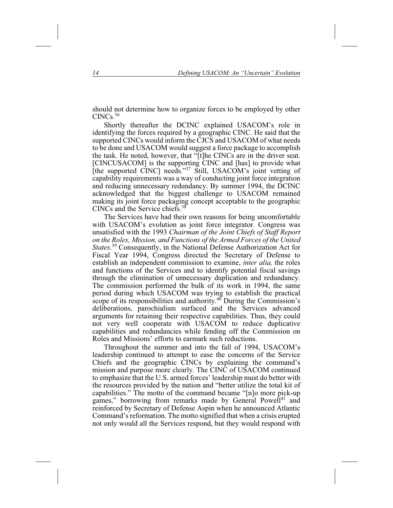should not determine how to organize forces to be employed by other CINCs.36

Shortly thereafter the DCINC explained USACOM's role in identifying the forces required by a geographic CINC. He said that the supported CINCs would inform the CJCS and USACOM of what needs to be done and USACOM would suggest a force package to accomplish the task. He noted, however, that "[t]he CINCs are in the driver seat. [CINCUSACOM] is the supporting CINC and [has] to provide what [the supported CINC] needs."<sup>37</sup> Still, USACOM's joint vetting of capability requirements was a way of conducting joint force integration and reducing unnecessary redundancy. By summer 1994, the DCINC acknowledged that the biggest challenge to USACOM remained making its joint force packaging concept acceptable to the geographic CINCs and the Service chiefs.38

The Services have had their own reasons for being uncomfortable with USACOM's evolution as joint force integrator. Congress was unsatisfied with the 1993 *Chairman of the Joint Chiefs of Staff Report on the Roles, Mission, and Functions of the Armed Forces of the United States*. <sup>39</sup> Consequently, in the National Defense Authorization Act for Fiscal Year 1994, Congress directed the Secretary of Defense to establish an independent commission to examine, *inter alia,* the roles and functions of the Services and to identify potential fiscal savings through the elimination of unnecessary duplication and redundancy. The commission performed the bulk of its work in 1994, the same period during which USACOM was trying to establish the practical scope of its responsibilities and authority. $40$  During the Commission's deliberations, parochialism surfaced and the Services advanced arguments for retaining their respective capabilities. Thus, they could not very well cooperate with USACOM to reduce duplicative capabilities and redundancies while fending off the Commission on Roles and Missions' efforts to earmark such reductions.

Throughout the summer and into the fall of 1994, USACOM's leadership continued to attempt to ease the concerns of the Service Chiefs and the geographic CINCs by explaining the command's mission and purpose more clearly. The CINC of USACOM continued to emphasize that the U.S. armed forces' leadership must do better with the resources provided by the nation and "better utilize the total kit of capabilities." The motto of the command became "[n]o more pick-up games," borrowing from remarks made by General Powell<sup>41</sup> and reinforced by Secretary of Defense Aspin when he announced Atlantic Command's reformation. The motto signified that when a crisis erupted not only would all the Services respond, but they would respond with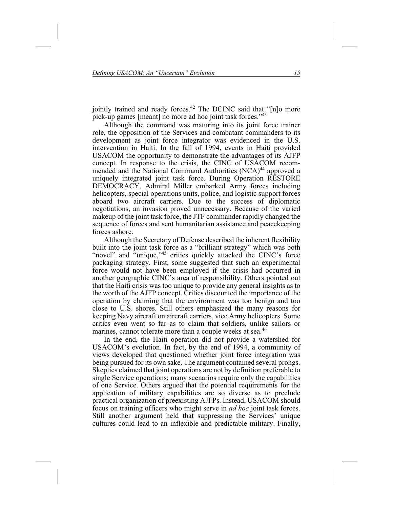jointly trained and ready forces.<sup>42</sup> The DCINC said that "[n]o more pick-up games [meant] no more ad hoc joint task forces."43

Although the command was maturing into its joint force trainer role, the opposition of the Services and combatant commanders to its development as joint force integrator was evidenced in the U.S. intervention in Haiti. In the fall of 1994, events in Haiti provided USACOM the opportunity to demonstrate the advantages of its AJFP concept. In response to the crisis, the CINC of USACOM recommended and the National Command Authorities (NCA)<sup>44</sup> approved a uniquely integrated joint task force. During Operation RESTORE DEMOCRACY, Admiral Miller embarked Army forces including helicopters, special operations units, police, and logistic support forces aboard two aircraft carriers. Due to the success of diplomatic negotiations, an invasion proved unnecessary. Because of the varied makeup of the joint task force, the JTF commander rapidly changed the sequence of forces and sent humanitarian assistance and peacekeeping forces ashore.

Although the Secretary of Defense described the inherent flexibility built into the joint task force as a "brilliant strategy" which was both "novel" and "unique,"<sup>45</sup> critics quickly attacked the CINC's force packaging strategy. First, some suggested that such an experimental force would not have been employed if the crisis had occurred in another geographic CINC's area of responsibility. Others pointed out that the Haiti crisis was too unique to provide any general insights as to the worth of the AJFP concept. Critics discounted the importance of the operation by claiming that the environment was too benign and too close to U.S. shores. Still others emphasized the many reasons for keeping Navy aircraft on aircraft carriers, vice Army helicopters. Some critics even went so far as to claim that soldiers, unlike sailors or marines, cannot tolerate more than a couple weeks at sea.<sup>46</sup>

In the end, the Haiti operation did not provide a watershed for USACOM's evolution. In fact, by the end of 1994, a community of views developed that questioned whether joint force integration was being pursued for its own sake. The argument contained several prongs. Skeptics claimed that joint operations are not by definition preferable to single Service operations; many scenarios require only the capabilities of one Service. Others argued that the potential requirements for the application of military capabilities are so diverse as to preclude practical organization of preexisting AJFPs. Instead, USACOM should focus on training officers who might serve in *ad hoc* joint task forces. Still another argument held that suppressing the Services' unique cultures could lead to an inflexible and predictable military. Finally,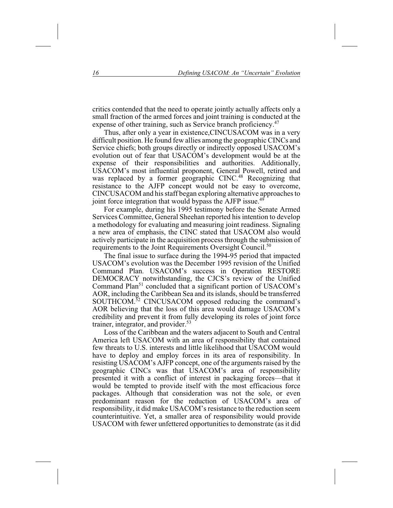critics contended that the need to operate jointly actually affects only a small fraction of the armed forces and joint training is conducted at the expense of other training, such as Service branch proficiency.<sup>47</sup>

Thus, after only a year in existence,CINCUSACOM was in a very difficult position. He found few allies among the geographic CINCs and Service chiefs; both groups directly or indirectly opposed USACOM's evolution out of fear that USACOM's development would be at the expense of their responsibilities and authorities. Additionally, USACOM's most influential proponent, General Powell, retired and was replaced by a former geographic CINC.<sup>48</sup> Recognizing that resistance to the AJFP concept would not be easy to overcome, CINCUSACOM and his staff began exploring alternative approaches to joint force integration that would bypass the AJFP issue.<sup>49</sup>

For example, during his 1995 testimony before the Senate Armed Services Committee, General Sheehan reported his intention to develop a methodology for evaluating and measuring joint readiness. Signaling a new area of emphasis, the CINC stated that USACOM also would actively participate in the acquisition process through the submission of requirements to the Joint Requirements Oversight Council.<sup>50</sup>

The final issue to surface during the 1994-95 period that impacted USACOM's evolution was the December 1995 revision of the Unified Command Plan. USACOM's success in Operation RESTORE DEMOCRACY notwithstanding, the CJCS's review of the Unified Command Plan<sup>51</sup> concluded that a significant portion of USACOM's AOR, including the Caribbean Sea and its islands, should be transferred SOUTHCOM.<sup>32</sup> CINCUSACOM opposed reducing the command's AOR believing that the loss of this area would damage USACOM's credibility and prevent it from fully developing its roles of joint force trainer, integrator, and provider.<sup>53</sup>

Loss of the Caribbean and the waters adjacent to South and Central America left USACOM with an area of responsibility that contained few threats to U.S. interests and little likelihood that USACOM would have to deploy and employ forces in its area of responsibility. In resisting USACOM's AJFP concept, one of the arguments raised by the geographic CINCs was that USACOM's area of responsibility presented it with a conflict of interest in packaging forces—that it would be tempted to provide itself with the most efficacious force packages. Although that consideration was not the sole, or even predominant reason for the reduction of USACOM's area of responsibility, it did make USACOM's resistance to the reduction seem counterintuitive. Yet, a smaller area of responsibility would provide USACOM with fewer unfettered opportunities to demonstrate (as it did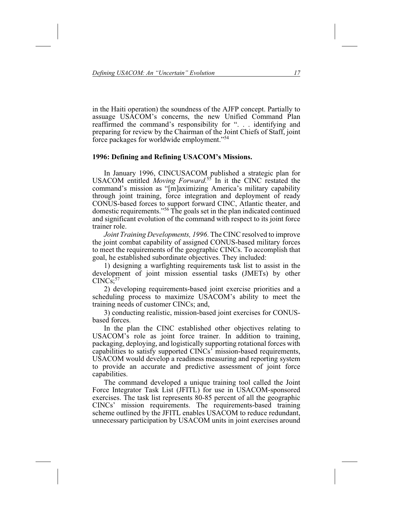in the Haiti operation) the soundness of the AJFP concept. Partially to assuage USACOM's concerns, the new Unified Command Plan reaffirmed the command's responsibility for ". . . identifying and preparing for review by the Chairman of the Joint Chiefs of Staff, joint force packages for worldwide employment."54

### **1996: Defining and Refining USACOM's Missions.**

In January 1996, CINCUSACOM published a strategic plan for USACOM entitled *Moving Forward*. <sup>55</sup> In it the CINC restated the command's mission as "[m]aximizing America's military capability through joint training, force integration and deployment of ready CONUS-based forces to support forward CINC, Atlantic theater, and domestic requirements."56 The goals set in the plan indicated continued and significant evolution of the command with respect to its joint force trainer role.

*Joint Training Developments, 1996*. The CINC resolved to improve the joint combat capability of assigned CONUS-based military forces to meet the requirements of the geographic CINCs. To accomplish that goal, he established subordinate objectives. They included:

1) designing a warfighting requirements task list to assist in the development of joint mission essential tasks (JMETs) by other  $CINCs$ ;  $57$ 

2) developing requirements-based joint exercise priorities and a scheduling process to maximize USACOM's ability to meet the training needs of customer CINCs; and,

3) conducting realistic, mission-based joint exercises for CONUSbased forces.

In the plan the CINC established other objectives relating to USACOM's role as joint force trainer. In addition to training, packaging, deploying, and logistically supporting rotational forces with capabilities to satisfy supported CINCs' mission-based requirements, USACOM would develop a readiness measuring and reporting system to provide an accurate and predictive assessment of joint force capabilities.

The command developed a unique training tool called the Joint Force Integrator Task List (JFITL) for use in USACOM-sponsored exercises. The task list represents 80-85 percent of all the geographic CINCs' mission requirements. The requirements-based training scheme outlined by the JFITL enables USACOM to reduce redundant, unnecessary participation by USACOM units in joint exercises around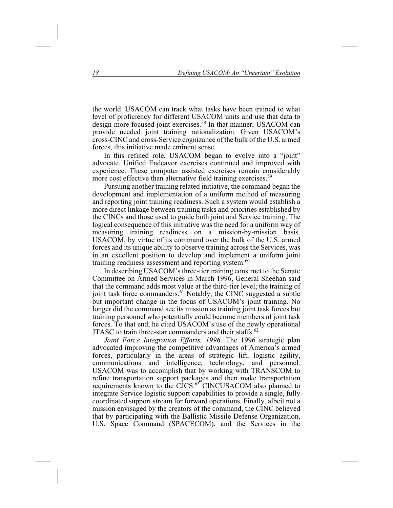the world. USACOM can track what tasks have been trained to what level of proficiency for different USACOM units and use that data to design more focused joint exercises.<sup>58</sup> In that manner, USACOM can provide needed joint training rationalization. Given USACOM's cross-CINC and cross-Service cognizance of the bulk of the U.S. armed forces, this initiative made eminent sense.

In this refined role, USACOM began to evolve into a "joint" advocate. Unified Endeavor exercises continued and improved with experience. These computer assisted exercises remain considerably more cost effective than alternative field training exercises.<sup>59</sup>

Pursuing another training related initiative, the command began the development and implementation of a uniform method of measuring and reporting joint training readiness. Such a system would establish a more direct linkage between training tasks and priorities established by the CINCs and those used to guide both joint and Service training. The logical consequence of this initiative was the need for a uniform way of measuring training readiness on a mission-by-mission basis. USACOM, by virtue of its command over the bulk of the U.S. armed forces and its unique ability to observe training across the Services, was in an excellent position to develop and implement a uniform joint training readiness assessment and reporting system.<sup>60</sup>

In describing USACOM's three-tier training construct to the Senate Committee on Armed Services in March 1996, General Sheehan said that the command adds most value at the third-tier level; the training of joint task force commanders.<sup>61</sup> Notably, the CINC suggested a subtle but important change in the focus of USACOM's joint training. No longer did the command see its mission as training joint task forces but training personnel who potentially could become members of joint task forces. To that end, he cited USACOM's use of the newly operational JTASC to train three-star commanders and their staffs.<sup>62</sup>

*Joint Force Integration Efforts, 1996*. The 1996 strategic plan advocated improving the competitive advantages of America's armed forces, particularly in the areas of strategic lift, logistic agility, communications and intelligence, technology, and personnel. USACOM was to accomplish that by working with TRANSCOM to refine transportation support packages and then make transportation requirements known to the CJCS.<sup>63</sup> CINCUSACOM also planned to integrate Service logistic support capabilities to provide a single, fully coordinated support stream for forward operations. Finally, albeit not a mission envisaged by the creators of the command, the CINC believed that by participating with the Ballistic Missile Defense Organization, U.S. Space Command (SPACECOM), and the Services in the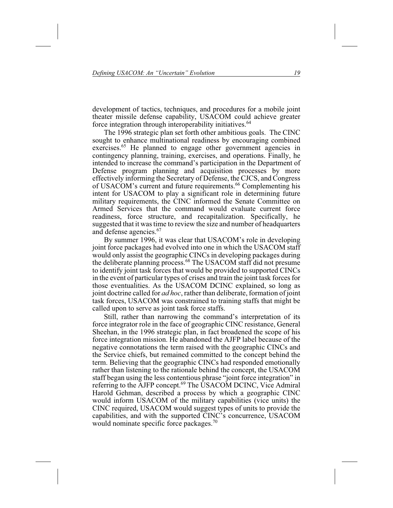development of tactics, techniques, and procedures for a mobile joint theater missile defense capability, USACOM could achieve greater force integration through interoperability initiatives.<sup>64</sup>

The 1996 strategic plan set forth other ambitious goals. The CINC sought to enhance multinational readiness by encouraging combined exercises.<sup>65</sup> He planned to engage other government agencies in contingency planning, training, exercises, and operations. Finally, he intended to increase the command's participation in the Department of Defense program planning and acquisition processes by more effectively informing the Secretary of Defense, the CJCS, and Congress of USACOM's current and future requirements.66 Complementing his intent for USACOM to play a significant role in determining future military requirements, the CINC informed the Senate Committee on Armed Services that the command would evaluate current force readiness, force structure, and recapitalization. Specifically, he suggested that it was time to review the size and number of headquarters and defense agencies.<sup>67</sup>

By summer 1996, it was clear that USACOM's role in developing joint force packages had evolved into one in which the USACOM staff would only assist the geographic CINCs in developing packages during the deliberate planning process.<sup>68</sup> The USACOM staff did not presume to identify joint task forces that would be provided to supported CINCs in the event of particular types of crises and train the joint task forces for those eventualities. As the USACOM DCINC explained, so long as joint doctrine called for *ad hoc*, rather than deliberate, formation of joint task forces, USACOM was constrained to training staffs that might be called upon to serve as joint task force staffs.

Still, rather than narrowing the command's interpretation of its force integrator role in the face of geographic CINC resistance, General Sheehan, in the 1996 strategic plan, in fact broadened the scope of his force integration mission. He abandoned the AJFP label because of the negative connotations the term raised with the geographic CINCs and the Service chiefs, but remained committed to the concept behind the term. Believing that the geographic CINCs had responded emotionally rather than listening to the rationale behind the concept, the USACOM staff began using the less contentious phrase "joint force integration" in referring to the AJFP concept.<sup>69</sup> The USACOM DCINC, Vice Admiral Harold Gehman, described a process by which a geographic CINC would inform USACOM of the military capabilities (vice units) the CINC required, USACOM would suggest types of units to provide the capabilities, and with the supported CINC's concurrence, USACOM would nominate specific force packages.70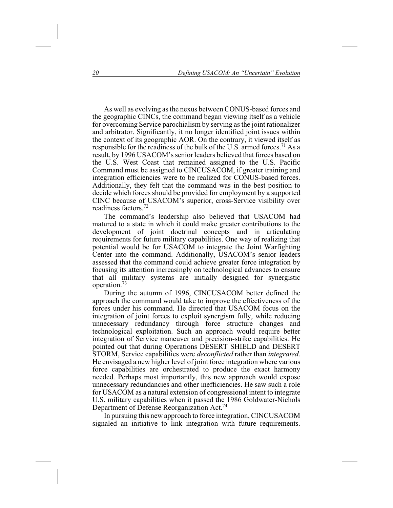As well as evolving as the nexus between CONUS-based forces and the geographic CINCs, the command began viewing itself as a vehicle for overcoming Service parochialism by serving as the joint rationalizer and arbitrator. Significantly, it no longer identified joint issues within the context of its geographic AOR. On the contrary, it viewed itself as responsible for the readiness of the bulk of the U.S. armed forces.<sup>71</sup> As a result, by 1996 USACOM's senior leaders believed that forces based on the U.S. West Coast that remained assigned to the U.S. Pacific Command must be assigned to CINCUSACOM, if greater training and integration efficiencies were to be realized for CONUS-based forces. Additionally, they felt that the command was in the best position to decide which forces should be provided for employment by a supported CINC because of USACOM's superior, cross-Service visibility over readiness factors.72

The command's leadership also believed that USACOM had matured to a state in which it could make greater contributions to the development of joint doctrinal concepts and in articulating requirements for future military capabilities. One way of realizing that potential would be for USACOM to integrate the Joint Warfighting Center into the command. Additionally, USACOM's senior leaders assessed that the command could achieve greater force integration by focusing its attention increasingly on technological advances to ensure that all military systems are initially designed for synergistic operation.73

During the autumn of 1996, CINCUSACOM better defined the approach the command would take to improve the effectiveness of the forces under his command. He directed that USACOM focus on the integration of joint forces to exploit synergism fully, while reducing unnecessary redundancy through force structure changes and technological exploitation. Such an approach would require better integration of Service maneuver and precision-strike capabilities. He pointed out that during Operations DESERT SHIELD and DESERT STORM, Service capabilities were *deconflicted* rather than *integrated*. He envisaged a new higher level of joint force integration where various force capabilities are orchestrated to produce the exact harmony needed. Perhaps most importantly, this new approach would expose unnecessary redundancies and other inefficiencies. He saw such a role for USACOM as a natural extension of congressional intent to integrate U.S. military capabilities when it passed the 1986 Goldwater-Nichols Department of Defense Reorganization Act.74

In pursuing this new approach to force integration, CINCUSACOM signaled an initiative to link integration with future requirements.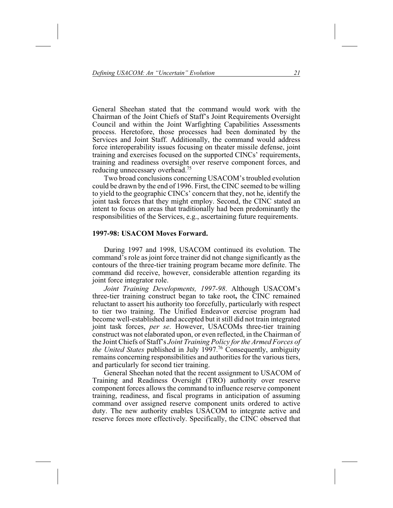General Sheehan stated that the command would work with the Chairman of the Joint Chiefs of Staff's Joint Requirements Oversight Council and within the Joint Warfighting Capabilities Assessments process. Heretofore, those processes had been dominated by the Services and Joint Staff. Additionally, the command would address force interoperability issues focusing on theater missile defense, joint training and exercises focused on the supported CINCs' requirements, training and readiness oversight over reserve component forces, and reducing unnecessary overhead.75

Two broad conclusions concerning USACOM's troubled evolution could be drawn by the end of 1996. First, the CINC seemed to be willing to yield to the geographic CINCs' concern that they, not he, identify the joint task forces that they might employ. Second, the CINC stated an intent to focus on areas that traditionally had been predominantly the responsibilities of the Services, e.g., ascertaining future requirements.

### **1997-98: USACOM Moves Forward.**

During 1997 and 1998, USACOM continued its evolution. The command's role as joint force trainer did not change significantly as the contours of the three-tier training program became more definite. The command did receive, however, considerable attention regarding its joint force integrator role.

*Joint Training Developments, 1997-98*. Although USACOM's three-tier training construct began to take root**,** the CINC remained reluctant to assert his authority too forcefully, particularly with respect to tier two training. The Unified Endeavor exercise program had become well-established and accepted but it still did not train integrated joint task forces, *per se*. However, USACOMs three-tier training construct was not elaborated upon, or even reflected, in the Chairman of the Joint Chiefs of Staff's *Joint Training Policy for the Armed Forces of the United States* published in July 1997.<sup>76</sup> Consequently, ambiguity remains concerning responsibilities and authorities for the various tiers, and particularly for second tier training.

General Sheehan noted that the recent assignment to USACOM of Training and Readiness Oversight (TRO) authority over reserve component forces allows the command to influence reserve component training, readiness, and fiscal programs in anticipation of assuming command over assigned reserve component units ordered to active duty. The new authority enables USACOM to integrate active and reserve forces more effectively. Specifically, the CINC observed that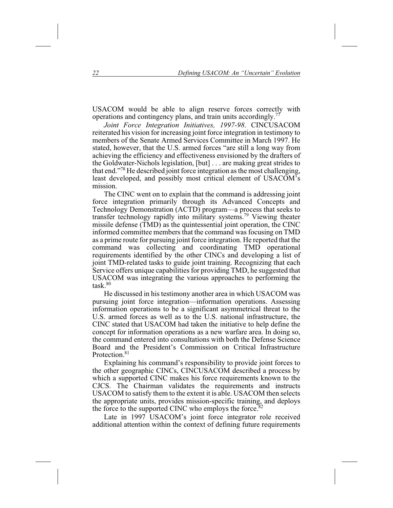USACOM would be able to align reserve forces correctly with operations and contingency plans, and train units accordingly.77

*Joint Force Integration Initiatives, 1997-98*. CINCUSACOM reiterated his vision for increasing joint force integration in testimony to members of the Senate Armed Services Committee in March 1997. He stated, however, that the U.S. armed forces "are still a long way from achieving the efficiency and effectiveness envisioned by the drafters of the Goldwater-Nichols legislation, [but] . . . are making great strides to that end."78 He described joint force integration as the most challenging, least developed, and possibly most critical element of USACOM's mission.

The CINC went on to explain that the command is addressing joint force integration primarily through its Advanced Concepts and Technology Demonstration (ACTD) program—a process that seeks to transfer technology rapidly into military systems.79 Viewing theater missile defense (TMD) as the quintessential joint operation, the CINC informed committee members that the command was focusing on TMD as a prime route for pursuing joint force integration. He reported that the command was collecting and coordinating TMD operational requirements identified by the other CINCs and developing a list of joint TMD-related tasks to guide joint training. Recognizing that each Service offers unique capabilities for providing TMD, he suggested that USACOM was integrating the various approaches to performing the task $80$ 

He discussed in his testimony another area in which USACOM was pursuing joint force integration—information operations. Assessing information operations to be a significant asymmetrical threat to the U.S. armed forces as well as to the U.S. national infrastructure, the CINC stated that USACOM had taken the initiative to help define the concept for information operations as a new warfare area. In doing so, the command entered into consultations with both the Defense Science Board and the President's Commission on Critical Infrastructure Protection<sup>81</sup>

Explaining his command's responsibility to provide joint forces to the other geographic CINCs, CINCUSACOM described a process by which a supported CINC makes his force requirements known to the CJCS. The Chairman validates the requirements and instructs USACOM to satisfy them to the extent it is able. USACOM then selects the appropriate units, provides mission-specific training, and deploys the force to the supported CINC who employs the force.<sup>82</sup>

Late in 1997 USACOM's joint force integrator role received additional attention within the context of defining future requirements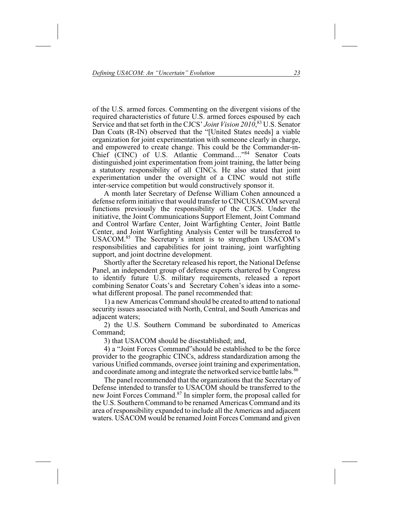of the U.S. armed forces. Commenting on the divergent visions of the required characteristics of future U.S. armed forces espoused by each Service and that set forth in the CJCS' *Joint Vision 2010*, <sup>83</sup> U.S. Senator Dan Coats (R-IN) observed that the "[United States needs] a viable organization for joint experimentation with someone clearly in charge, and empowered to create change. This could be the Commander-in-Chief (CINC) of U.S. Atlantic Command...."<sup>84</sup> Senator Coats distinguished joint experimentation from joint training, the latter being a statutory responsibility of all CINCs. He also stated that joint experimentation under the oversight of a CINC would not stifle inter-service competition but would constructively sponsor it.

A month later Secretary of Defense William Cohen announced a defense reform initiative that would transfer to CINCUSACOM several functions previously the responsibility of the CJCS. Under the initiative, the Joint Communications Support Element, Joint Command and Control Warfare Center, Joint Warfighting Center, Joint Battle Center, and Joint Warfighting Analysis Center will be transferred to USACOM.85 The Secretary's intent is to strengthen USACOM's responsibilities and capabilities for joint training, joint warfighting support, and joint doctrine development.

Shortly after the Secretary released his report, the National Defense Panel, an independent group of defense experts chartered by Congress to identify future U.S. military requirements, released a report combining Senator Coats's and Secretary Cohen's ideas into a somewhat different proposal. The panel recommended that:

1) a new Americas Command should be created to attend to national security issues associated with North, Central, and South Americas and adjacent waters;

2) the U.S. Southern Command be subordinated to Americas Command;

3) that USACOM should be disestablished; and,

4) a "Joint Forces Command"should be established to be the force provider to the geographic CINCs, address standardization among the various Unified commands, oversee joint training and experimentation, and coordinate among and integrate the networked service battle labs.<sup>86</sup>

The panel recommended that the organizations that the Secretary of Defense intended to transfer to USACOM should be transferred to the new Joint Forces Command.87 In simpler form, the proposal called for the U.S. Southern Command to be renamed Americas Command and its area of responsibility expanded to include all the Americas and adjacent waters. USACOM would be renamed Joint Forces Command and given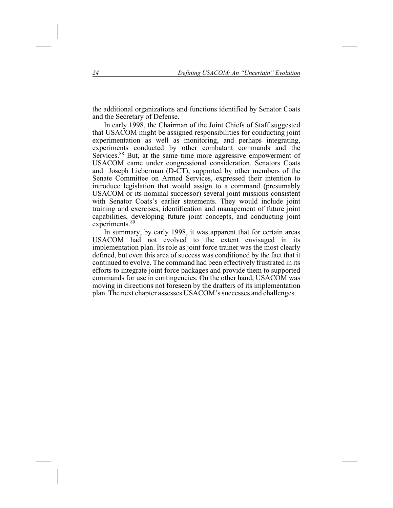the additional organizations and functions identified by Senator Coats and the Secretary of Defense.

In early 1998, the Chairman of the Joint Chiefs of Staff suggested that USACOM might be assigned responsibilities for conducting joint experimentation as well as monitoring, and perhaps integrating, experiments conducted by other combatant commands and the Services.<sup>88</sup> But, at the same time more aggressive empowerment of USACOM came under congressional consideration. Senators Coats and Joseph Lieberman (D-CT), supported by other members of the Senate Committee on Armed Services, expressed their intention to introduce legislation that would assign to a command (presumably USACOM or its nominal successor) several joint missions consistent with Senator Coats's earlier statements. They would include joint training and exercises, identification and management of future joint capabilities, developing future joint concepts, and conducting joint experiments.<sup>89</sup>

In summary, by early 1998, it was apparent that for certain areas USACOM had not evolved to the extent envisaged in its implementation plan. Its role as joint force trainer was the most clearly defined, but even this area of success was conditioned by the fact that it continued to evolve. The command had been effectively frustrated in its efforts to integrate joint force packages and provide them to supported commands for use in contingencies. On the other hand, USACOM was moving in directions not foreseen by the drafters of its implementation plan. The next chapter assesses USACOM's successes and challenges.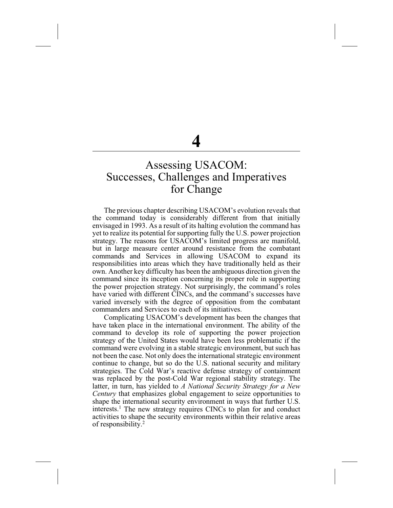# Assessing USACOM: Successes, Challenges and Imperatives for Change

The previous chapter describing USACOM's evolution reveals that the command today is considerably different from that initially envisaged in 1993. As a result of its halting evolution the command has yet to realize its potential for supporting fully the U.S. power projection strategy. The reasons for USACOM's limited progress are manifold, but in large measure center around resistance from the combatant commands and Services in allowing USACOM to expand its responsibilities into areas which they have traditionally held as their own. Another key difficulty has been the ambiguous direction given the command since its inception concerning its proper role in supporting the power projection strategy. Not surprisingly, the command's roles have varied with different CINCs, and the command's successes have varied inversely with the degree of opposition from the combatant commanders and Services to each of its initiatives.

Complicating USACOM's development has been the changes that have taken place in the international environment. The ability of the command to develop its role of supporting the power projection strategy of the United States would have been less problematic if the command were evolving in a stable strategic environment, but such has not been the case. Not only does the international strategic environment continue to change, but so do the U.S. national security and military strategies. The Cold War's reactive defense strategy of containment was replaced by the post-Cold War regional stability strategy. The latter, in turn, has yielded to *A National Security Strategy for a New Century* that emphasizes global engagement to seize opportunities to shape the international security environment in ways that further U.S. interests.<sup>1</sup> The new strategy requires CINCs to plan for and conduct activities to shape the security environments within their relative areas of responsibility. $2^2$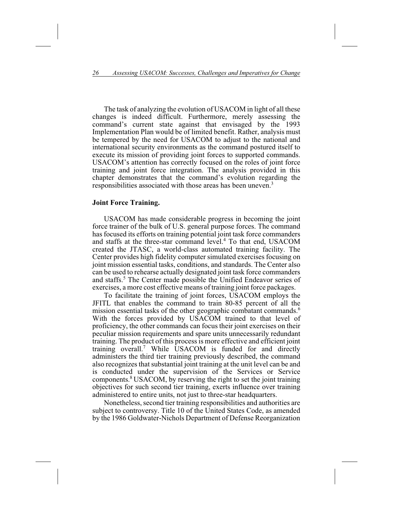The task of analyzing the evolution of USACOM in light of all these changes is indeed difficult. Furthermore, merely assessing the command's current state against that envisaged by the 1993 Implementation Plan would be of limited benefit. Rather, analysis must be tempered by the need for USACOM to adjust to the national and international security environments as the command postured itself to execute its mission of providing joint forces to supported commands. USACOM's attention has correctly focused on the roles of joint force training and joint force integration. The analysis provided in this chapter demonstrates that the command's evolution regarding the responsibilities associated with those areas has been uneven.3

#### **Joint Force Training.**

USACOM has made considerable progress in becoming the joint force trainer of the bulk of U.S. general purpose forces. The command has focused its efforts on training potential joint task force commanders and staffs at the three-star command level.<sup>4</sup> To that end, USACOM created the JTASC, a world-class automated training facility. The Center provides high fidelity computer simulated exercises focusing on joint mission essential tasks, conditions, and standards. The Center also can be used to rehearse actually designated joint task force commanders and staffs.<sup>5</sup> The Center made possible the Unified Endeavor series of exercises, a more cost effective means of training joint force packages.

To facilitate the training of joint forces, USACOM employs the JFITL that enables the command to train 80-85 percent of all the mission essential tasks of the other geographic combatant commands.<sup>6</sup> With the forces provided by USACOM trained to that level of proficiency, the other commands can focus their joint exercises on their peculiar mission requirements and spare units unnecessarily redundant training. The product of this process is more effective and efficient joint training overall.7 While USACOM is funded for and directly administers the third tier training previously described, the command also recognizes that substantial joint training at the unit level can be and is conducted under the supervision of the Services or Service components.8 USACOM, by reserving the right to set the joint training objectives for such second tier training, exerts influence over training administered to entire units, not just to three-star headquarters.

Nonetheless, second tier training responsibilities and authorities are subject to controversy. Title 10 of the United States Code, as amended by the 1986 Goldwater-Nichols Department of Defense Reorganization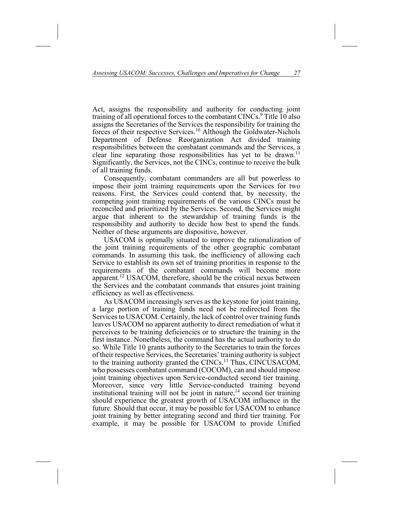Act, assigns the responsibility and authority for conducting joint training of all operational forces to the combatant CINCs.<sup>9</sup> Title 10 also assigns the Secretaries of the Services the responsibility for training the forces of their respective Services.10 Although the Goldwater-Nichols Department of Defense Reorganization Act divided training responsibilities between the combatant commands and the Services, a clear line separating those responsibilities has yet to be drawn.<sup>11</sup> Significantly, the Services, not the CINCs, continue to receive the bulk of all training funds.

Consequently, combatant commanders are all but powerless to impose their joint training requirements upon the Services for two reasons. First, the Services could contend that, by necessity, the competing joint training requirements of the various CINCs must be reconciled and prioritized by the Services. Second, the Services might argue that inherent to the stewardship of training funds is the responsibility and authority to decide how best to spend the funds. Neither of these arguments are dispositive, however.

USACOM is optimally situated to improve the rationalization of the joint training requirements of the other geographic combatant commands. In assuming this task, the inefficiency of allowing each Service to establish its own set of training priorities in response to the requirements of the combatant commands will become more apparent.12 USACOM, therefore, should be the critical nexus between the Services and the combatant commands that ensures joint training efficiency as well as effectiveness.

As USACOM increasingly serves as the keystone for joint training, a large portion of training funds need not be redirected from the Services to USACOM. Certainly, the lack of control over training funds leaves USACOM no apparent authority to direct remediation of what it perceives to be training deficiencies or to structure the training in the first instance. Nonetheless, the command has the actual authority to do so. While Title 10 grants authority to the Secretaries to train the forces of their respective Services, the Secretaries' training authority is subject to the training authority granted the CINCs.13 Thus, CINCUSACOM, who possesses combatant command (COCOM), can and should impose joint training objectives upon Service-conducted second tier training. Moreover, since very little Service-conducted training beyond institutional training will not be joint in nature,<sup> $14$ </sup> second tier training should experience the greatest growth of USACOM influence in the future. Should that occur, it may be possible for USACOM to enhance joint training by better integrating second and third tier training. For example, it may be possible for USACOM to provide Unified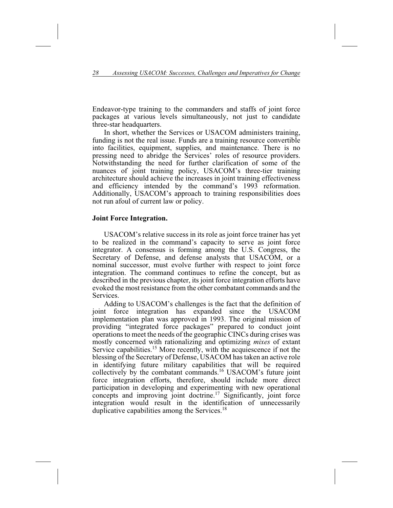Endeavor-type training to the commanders and staffs of joint force packages at various levels simultaneously, not just to candidate three-star headquarters.

In short, whether the Services or USACOM administers training, funding is not the real issue. Funds are a training resource convertible into facilities, equipment, supplies, and maintenance. There is no pressing need to abridge the Services' roles of resource providers. Notwithstanding the need for further clarification of some of the nuances of joint training policy, USACOM's three-tier training architecture should achieve the increases in joint training effectiveness and efficiency intended by the command's 1993 reformation. Additionally, USACOM's approach to training responsibilities does not run afoul of current law or policy.

# **Joint Force Integration.**

USACOM's relative success in its role as joint force trainer has yet to be realized in the command's capacity to serve as joint force integrator. A consensus is forming among the U.S. Congress, the Secretary of Defense, and defense analysts that USACOM, or a nominal successor, must evolve further with respect to joint force integration. The command continues to refine the concept, but as described in the previous chapter, its joint force integration efforts have evoked the most resistance from the other combatant commands and the **Services** 

Adding to USACOM's challenges is the fact that the definition of joint force integration has expanded since the USACOM expanded since the USACOM implementation plan was approved in 1993. The original mission of providing "integrated force packages" prepared to conduct joint operations to meet the needs of the geographic CINCs during crises was mostly concerned with rationalizing and optimizing *mixes* of extant Service capabilities.<sup>15</sup> More recently, with the acquiescence if not the blessing of the Secretary of Defense, USACOM has taken an active role in identifying future military capabilities that will be required collectively by the combatant commands.16 USACOM's future joint force integration efforts, therefore, should include more direct participation in developing and experimenting with new operational concepts and improving joint doctrine.<sup>17</sup> Significantly, joint force integration would result in the identification of unnecessarily duplicative capabilities among the Services.<sup>18</sup>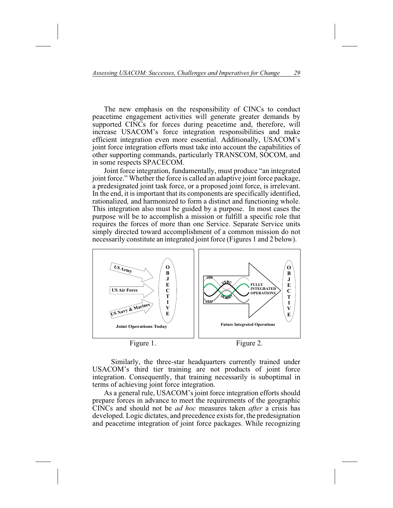The new emphasis on the responsibility of CINCs to conduct peacetime engagement activities will generate greater demands by supported CINCs for forces during peacetime and, therefore, will increase USACOM's force integration responsibilities and make efficient integration even more essential. Additionally, USACOM's joint force integration efforts must take into account the capabilities of other supporting commands, particularly TRANSCOM, SOCOM, and in some respects SPACECOM.

Joint force integration, fundamentally, must produce "an integrated joint force." Whether the force is called an adaptive joint force package, a predesignated joint task force, or a proposed joint force, is irrelevant. In the end, it is important that its components are specifically identified, rationalized*,* and harmonized to form a distinct and functioning whole. This integration also must be guided by a purpose. In most cases the purpose will be to accomplish a mission or fulfill a specific role that requires the forces of more than one Service. Separate Service units simply directed toward accomplishment of a common mission do not necessarily constitute an integrated joint force (Figures 1 and 2 below).



Figure 1.

Figure 2.

Similarly, the three-star headquarters currently trained under USACOM's third tier training are not products of joint force integration. Consequently, that training necessarily is suboptimal in terms of achieving joint force integration.

As a general rule, USACOM's joint force integration efforts should prepare forces in advance to meet the requirements of the geographic CINCs and should not be *ad hoc* measures taken *after* a crisis has developed. Logic dictates, and precedence exists for, the predesignation and peacetime integration of joint force packages. While recognizing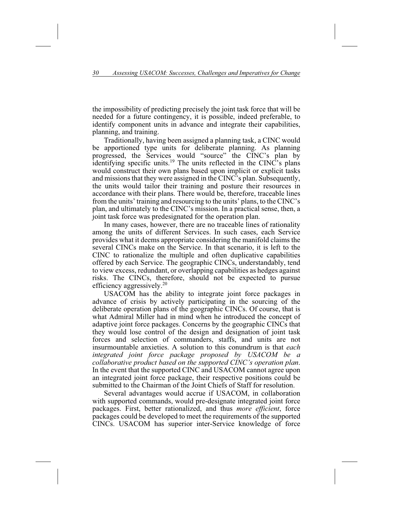the impossibility of predicting precisely the joint task force that will be needed for a future contingency, it is possible, indeed preferable, to identify component units in advance and integrate their capabilities, planning, and training.

Traditionally, having been assigned a planning task, a CINC would be apportioned type units for deliberate planning. As planning progressed, the Services would "source" the CINC's plan by identifying specific units.<sup>19</sup> The units reflected in the CINC's plans would construct their own plans based upon implicit or explicit tasks and missions that they were assigned in the CINC's plan. Subsequently, the units would tailor their training and posture their resources in accordance with their plans. There would be, therefore, traceable lines from the units' training and resourcing to the units' plans, to the CINC's plan, and ultimately to the CINC's mission. In a practical sense, then, a joint task force was predesignated for the operation plan.

In many cases, however, there are no traceable lines of rationality among the units of different Services. In such cases, each Service provides what it deems appropriate considering the manifold claims the several CINCs make on the Service. In that scenario, it is left to the CINC to rationalize the multiple and often duplicative capabilities offered by each Service. The geographic CINCs, understandably, tend to view excess, redundant, or overlapping capabilities as hedges against risks. The CINCs, therefore, should not be expected to pursue efficiency aggressively.20

USACOM has the ability to integrate joint force packages in advance of crisis by actively participating in the sourcing of the deliberate operation plans of the geographic CINCs. Of course, that is what Admiral Miller had in mind when he introduced the concept of adaptive joint force packages. Concerns by the geographic CINCs that they would lose control of the design and designation of joint task forces and selection of commanders, staffs, and units are not insurmountable anxieties. A solution to this conundrum is that *each integrated joint force package proposed by USACOM be a collaborative product based on the supported CINC's operation plan*. In the event that the supported CINC and USACOM cannot agree upon an integrated joint force package, their respective positions could be submitted to the Chairman of the Joint Chiefs of Staff for resolution.

Several advantages would accrue if USACOM, in collaboration with supported commands, would pre-designate integrated joint force packages. First, better rationalized, and thus *more efficient*, force packages could be developed to meet the requirements of the supported CINCs. USACOM has superior inter-Service knowledge of force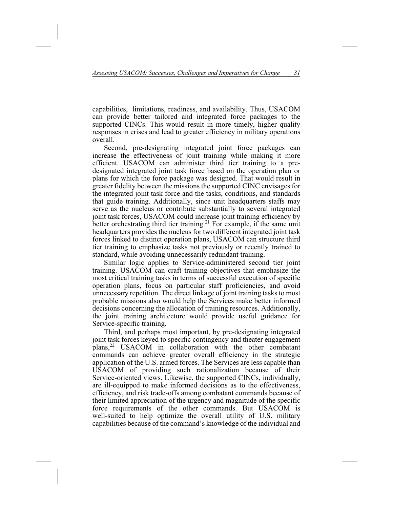capabilities, limitations, readiness, and availability. Thus, USACOM can provide better tailored and integrated force packages to the supported CINCs. This would result in more timely, higher quality responses in crises and lead to greater efficiency in military operations overall.

Second, pre-designating integrated joint force packages can increase the effectiveness of joint training while making it more efficient. USACOM can administer third tier training to a predesignated integrated joint task force based on the operation plan or plans for which the force package was designed. That would result in greater fidelity between the missions the supported CINC envisages for the integrated joint task force and the tasks, conditions, and standards that guide training. Additionally, since unit headquarters staffs may serve as the nucleus or contribute substantially to several integrated joint task forces, USACOM could increase joint training efficiency by better orchestrating third tier training.<sup>21</sup> For example, if the same unit headquarters provides the nucleus for two different integrated joint task forces linked to distinct operation plans, USACOM can structure third tier training to emphasize tasks not previously or recently trained to standard, while avoiding unnecessarily redundant training.

Similar logic applies to Service-administered second tier joint training. USACOM can craft training objectives that emphasize the most critical training tasks in terms of successful execution of specific operation plans, focus on particular staff proficiencies, and avoid unnecessary repetition. The direct linkage of joint training tasks to most probable missions also would help the Services make better informed decisions concerning the allocation of training resources. Additionally, the joint training architecture would provide useful guidance for Service-specific training.

Third, and perhaps most important, by pre-designating integrated joint task forces keyed to specific contingency and theater engagement plans,22 USACOM in collaboration with the other combatant commands can achieve greater overall efficiency in the strategic application of the U.S. armed forces. The Services are less capable than USACOM of providing such rationalization because of their Service-oriented views. Likewise, the supported CINCs, individually, are ill-equipped to make informed decisions as to the effectiveness, efficiency, and risk trade-offs among combatant commands because of their limited appreciation of the urgency and magnitude of the specific force requirements of the other commands. But USACOM is well-suited to help optimize the overall utility of U.S. military capabilities because of the command's knowledge of the individual and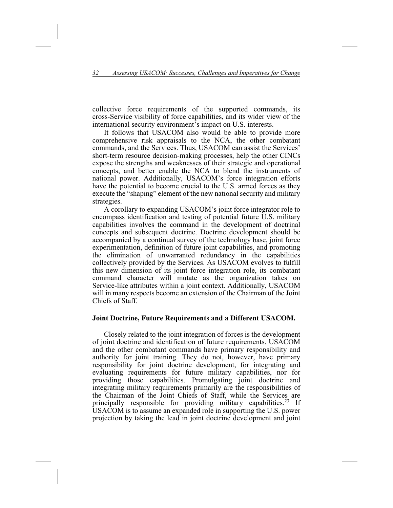collective force requirements of the supported commands, its cross-Service visibility of force capabilities, and its wider view of the international security environment's impact on U.S. interests.

It follows that USACOM also would be able to provide more comprehensive risk appraisals to the NCA, the other combatant commands, and the Services. Thus, USACOM can assist the Services' short-term resource decision-making processes, help the other CINCs expose the strengths and weaknesses of their strategic and operational concepts, and better enable the NCA to blend the instruments of national power. Additionally, USACOM's force integration efforts have the potential to become crucial to the U.S. armed forces as they execute the "shaping" element of the new national security and military strategies.

A corollary to expanding USACOM's joint force integrator role to encompass identification and testing of potential future U.S. military capabilities involves the command in the development of doctrinal concepts and subsequent doctrine. Doctrine development should be accompanied by a continual survey of the technology base, joint force experimentation, definition of future joint capabilities, and promoting the elimination of unwarranted redundancy in the capabilities collectively provided by the Services. As USACOM evolves to fulfill this new dimension of its joint force integration role, its combatant command character will mutate as the organization takes on Service-like attributes within a joint context. Additionally, USACOM will in many respects become an extension of the Chairman of the Joint Chiefs of Staff.

## **Joint Doctrine, Future Requirements and a Different USACOM.**

Closely related to the joint integration of forces is the development of joint doctrine and identification of future requirements. USACOM and the other combatant commands have primary responsibility and authority for joint training. They do not, however, have primary responsibility for joint doctrine development, for integrating and evaluating requirements for future military capabilities, nor for providing those capabilities. Promulgating joint doctrine and integrating military requirements primarily are the responsibilities of the Chairman of the Joint Chiefs of Staff, while the Services are principally responsible for providing military capabilities.<sup>23</sup> If USACOM is to assume an expanded role in supporting the U.S. power projection by taking the lead in joint doctrine development and joint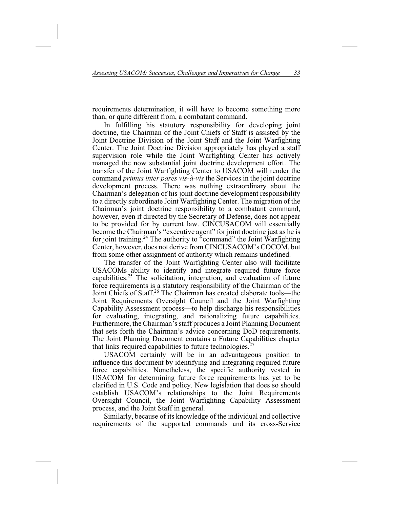requirements determination, it will have to become something more than, or quite different from, a combatant command.

In fulfilling his statutory responsibility for developing joint doctrine, the Chairman of the Joint Chiefs of Staff is assisted by the Joint Doctrine Division of the Joint Staff and the Joint Warfighting Center. The Joint Doctrine Division appropriately has played a staff supervision role while the Joint Warfighting Center has actively managed the now substantial joint doctrine development effort. The transfer of the Joint Warfighting Center to USACOM will render the command *primus inter pares vis-à-vis* the Services in the joint doctrine development process. There was nothing extraordinary about the Chairman's delegation of his joint doctrine development responsibility to a directly subordinate Joint Warfighting Center. The migration of the Chairman's joint doctrine responsibility to a combatant command, however, even if directed by the Secretary of Defense, does not appear to be provided for by current law. CINCUSACOM will essentially become the Chairman's "executive agent" for joint doctrine just as he is for joint training.<sup>24</sup> The authority to "command" the Joint Warfighting Center, however, does not derive from CINCUSACOM's COCOM, but from some other assignment of authority which remains undefined.

The transfer of the Joint Warfighting Center also will facilitate USACOMs ability to identify and integrate required future force capabilities.<sup>25</sup> The solicitation, integration, and evaluation of future force requirements is a statutory responsibility of the Chairman of the Joint Chiefs of Staff.26 The Chairman has created elaborate tools—the Joint Requirements Oversight Council and the Joint Warfighting Capability Assessment process—to help discharge his responsibilities for evaluating, integrating, and rationalizing future capabilities. Furthermore, the Chairman's staff produces a Joint Planning Document that sets forth the Chairman's advice concerning DoD requirements. The Joint Planning Document contains a Future Capabilities chapter that links required capabilities to future technologies. $27$ 

USACOM certainly will be in an advantageous position to influence this document by identifying and integrating required future force capabilities. Nonetheless, the specific authority vested in USACOM for determining future force requirements has yet to be clarified in U.S. Code and policy. New legislation that does so should establish USACOM's relationships to the Joint Requirements Oversight Council, the Joint Warfighting Capability Assessment process, and the Joint Staff in general.

Similarly, because of its knowledge of the individual and collective requirements of the supported commands and its cross-Service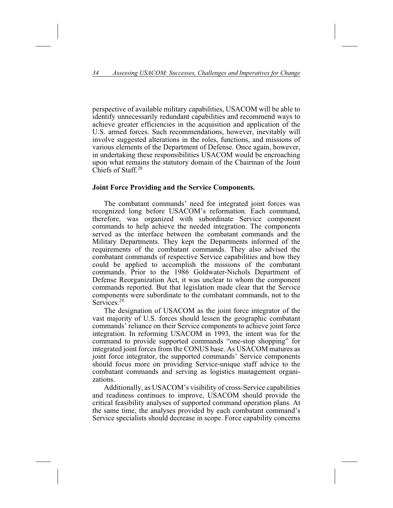perspective of available military capabilities, USACOM will be able to identify unnecessarily redundant capabilities and recommend ways to achieve greater efficiencies in the acquisition and application of the U.S. armed forces. Such recommendations, however, inevitably will involve suggested alterations in the roles, functions, and missions of various elements of the Department of Defense. Once again, however, in undertaking these responsibilities USACOM would be encroaching upon what remains the statutory domain of the Chairman of the Joint Chiefs of Staff.28

## **Joint Force Providing and the Service Components.**

The combatant commands' need for integrated joint forces was recognized long before USACOM's reformation. Each command, therefore, was organized with subordinate Service component commands to help achieve the needed integration. The components served as the interface between the combatant commands and the Military Departments. They kept the Departments informed of the requirements of the combatant commands. They also advised the combatant commands of respective Service capabilities and how they could be applied to accomplish the missions of the combatant commands. Prior to the 1986 Goldwater-Nichols Department of Defense Reorganization Act, it was unclear to whom the component commands reported. But that legislation made clear that the Service components were subordinate to the combatant commands, not to the Services.<sup>29</sup>

The designation of USACOM as the joint force integrator of the vast majority of U.S. forces should lessen the geographic combatant commands' reliance on their Service components to achieve joint force integration. In reforming USACOM in 1993, the intent was for the command to provide supported commands "one-stop shopping" for integrated joint forces from the CONUS base. As USACOM matures as joint force integrator, the supported commands' Service components should focus more on providing Service-unique staff advice to the combatant commands and serving as logistics management organizations.

Additionally, as USACOM's visibility of cross-Service capabilities and readiness continues to improve, USACOM should provide the critical feasibility analyses of supported command operation plans. At the same time, the analyses provided by each combatant command's Service specialists should decrease in scope. Force capability concerns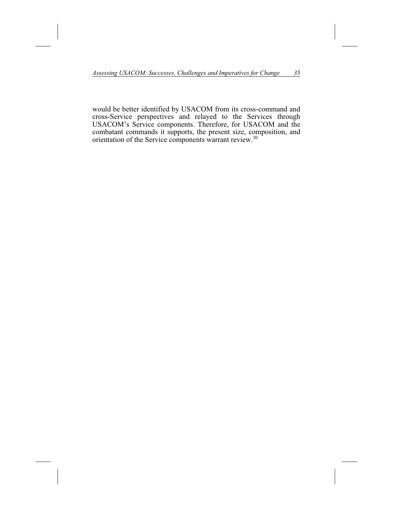would be better identified by USACOM from its cross-command and cross-Service perspectives and relayed to the Services through USACOM's Service components. Therefore, for USACOM and the combatant commands it supports, the present size, composition, and orientation of the Service components warrant review.<sup>30</sup>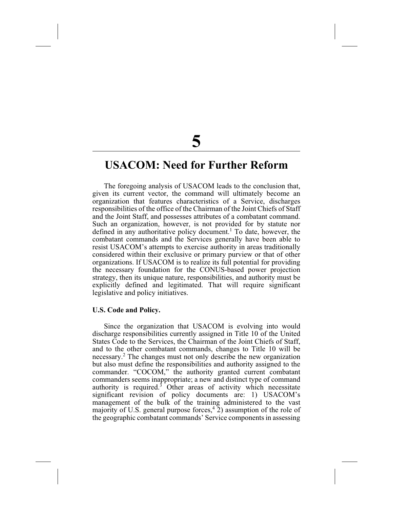# **USACOM: Need for Further Reform**

The foregoing analysis of USACOM leads to the conclusion that, given its current vector, the command will ultimately become an organization that features characteristics of a Service, discharges responsibilities of the office of the Chairman of the Joint Chiefs of Staff and the Joint Staff, and possesses attributes of a combatant command. Such an organization, however, is not provided for by statute nor defined in any authoritative policy document.<sup>1</sup> To date, however, the combatant commands and the Services generally have been able to resist USACOM's attempts to exercise authority in areas traditionally considered within their exclusive or primary purview or that of other organizations. If USACOM is to realize its full potential for providing the necessary foundation for the CONUS-based power projection strategy, then its unique nature, responsibilities, and authority must be explicitly defined and legitimated. That will require significant legislative and policy initiatives.

## **U.S. Code and Policy.**

Since the organization that USACOM is evolving into would discharge responsibilities currently assigned in Title 10 of the United States Code to the Services, the Chairman of the Joint Chiefs of Staff, and to the other combatant commands, changes to Title 10 will be necessary.2 The changes must not only describe the new organization but also must define the responsibilities and authority assigned to the commander. "COCOM," the authority granted current combatant commanders seems inappropriate; a new and distinct type of command authority is required.<sup>3</sup> Other areas of activity which necessitate significant revision of policy documents are: 1) USACOM's management of the bulk of the training administered to the vast majority of U.S. general purpose forces,  $4$  2) assumption of the role of the geographic combatant commands' Service components in assessing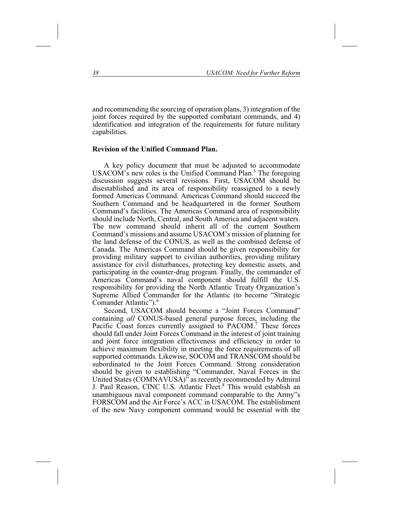and recommending the sourcing of operation plans, 3) integration of the joint forces required by the supported combatant commands, and 4) identification and integration of the requirements for future military capabilities.

# **Revision of the Unified Command Plan.**

A key policy document that must be adjusted to accommodate USACOM's new roles is the Unified Command Plan.<sup>5</sup> The foregoing discussion suggests several revisions. First, USACOM should be disestablished and its area of responsibility reassigned to a newly formed Americas Command. Americas Command should succeed the Southern Command and be headquartered in the former Southern Command's facilities. The Americas Command area of responsibility should include North, Central, and South America and adjacent waters. The new command should inherit all of the current Southern Command's missions and assume USACOM's mission of planning for the land defense of the CONUS, as well as the combined defense of Canada. The Americas Command should be given responsibility for providing military support to civilian authorities, providing military assistance for civil disturbances, protecting key domestic assets, and participating in the counter-drug program. Finally, the commander of Americas Command's naval component should fulfill the U.S. responsibility for providing the North Atlantic Treaty Organization's Supreme Allied Commander for the Atlantic (to become "Strategic Comander Atlantic").6

Second, USACOM should become a "Joint Forces Command" containing *all* CONUS-based general purpose forces, including the Pacific Coast forces currently assigned to PACOM.<sup>7</sup> These forces should fall under Joint Forces Command in the interest of joint training and joint force integration effectiveness and efficiency in order to achieve maximum flexibility in meeting the force requirements of all supported commands. Likewise, SOCOM and TRANSCOM should be subordinated to the Joint Forces Command. Strong consideration should be given to establishing "Commander, Naval Forces in the United States (COMNAVUSA)" as recently recommended by Admiral J. Paul Reason, CINC U.S. Atlantic Fleet.<sup>8</sup> This would establish an unambiguous naval component command comparable to the Army"s FORSCOM and the Air Force's ACC in USACOM. The establishment of the new Navy component command would be essential with the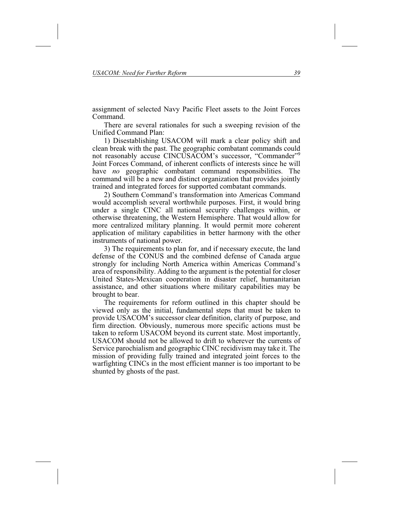assignment of selected Navy Pacific Fleet assets to the Joint Forces Command.

There are several rationales for such a sweeping revision of the Unified Command Plan:

1) Disestablishing USACOM will mark a clear policy shift and clean break with the past. The geographic combatant commands could not reasonably accuse CINCUSACOM's successor, "Commander"9 Joint Forces Command, of inherent conflicts of interests since he will have *no* geographic combatant command responsibilities. The command will be a new and distinct organization that provides jointly trained and integrated forces for supported combatant commands.

2) Southern Command's transformation into Americas Command would accomplish several worthwhile purposes. First, it would bring under a single CINC all national security challenges within, or otherwise threatening, the Western Hemisphere. That would allow for more centralized military planning. It would permit more coherent application of military capabilities in better harmony with the other instruments of national power.

3) The requirements to plan for, and if necessary execute, the land defense of the CONUS and the combined defense of Canada argue strongly for including North America within Americas Command's area of responsibility. Adding to the argument is the potential for closer United States-Mexican cooperation in disaster relief, humanitarian assistance, and other situations where military capabilities may be brought to bear.

The requirements for reform outlined in this chapter should be viewed only as the initial, fundamental steps that must be taken to provide USACOM's successor clear definition, clarity of purpose, and firm direction. Obviously, numerous more specific actions must be taken to reform USACOM beyond its current state. Most importantly, USACOM should not be allowed to drift to wherever the currents of Service parochialism and geographic CINC recidivism may take it. The mission of providing fully trained and integrated joint forces to the warfighting CINCs in the most efficient manner is too important to be shunted by ghosts of the past.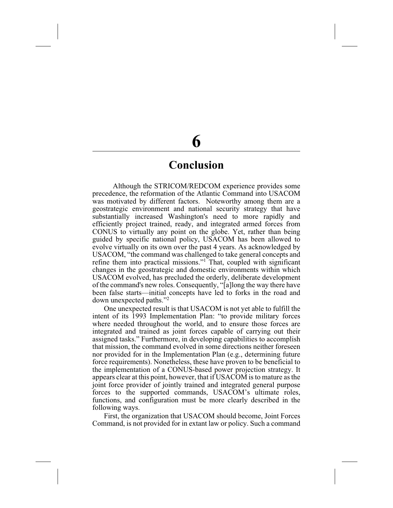# **6**

# **Conclusion**

Although the STRICOM/REDCOM experience provides some precedence, the reformation of the Atlantic Command into USACOM was motivated by different factors. Noteworthy among them are a geostrategic environment and national security strategy that have substantially increased Washington's need to more rapidly and efficiently project trained, ready, and integrated armed forces from CONUS to virtually any point on the globe. Yet, rather than being guided by specific national policy, USACOM has been allowed to evolve virtually on its own over the past 4 years. As acknowledged by USACOM, "the command was challenged to take general concepts and refine them into practical missions."<sup>1</sup> That, coupled with significant changes in the geostrategic and domestic environments within which USACOM evolved, has precluded the orderly, deliberate development of the command's new roles. Consequently, "[a]long the way there have been false starts—initial concepts have led to forks in the road and down unexpected paths."2

One unexpected result is that USACOM is not yet able to fulfill the intent of its 1993 Implementation Plan: "to provide military forces where needed throughout the world, and to ensure those forces are integrated and trained as joint forces capable of carrying out their assigned tasks." Furthermore, in developing capabilities to accomplish that mission, the command evolved in some directions neither foreseen nor provided for in the Implementation Plan (e.g., determining future force requirements). Nonetheless, these have proven to be beneficial to the implementation of a CONUS-based power projection strategy. It appears clear at this point, however, that if USACOM is to mature as the joint force provider of jointly trained and integrated general purpose forces to the supported commands, USACOM's ultimate roles, functions, and configuration must be more clearly described in the following ways.

First, the organization that USACOM should become, Joint Forces Command, is not provided for in extant law or policy. Such a command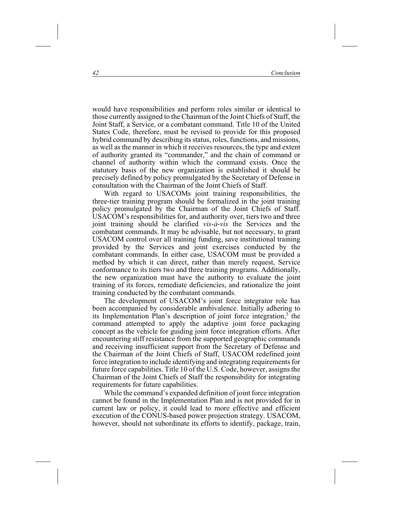would have responsibilities and perform roles similar or identical to those currently assigned to the Chairman of the Joint Chiefs of Staff, the Joint Staff, a Service, or a combatant command. Title 10 of the United States Code, therefore, must be revised to provide for this proposed hybrid command by describing its status, roles, functions, and missions, as well as the manner in which it receives resources, the type and extent of authority granted its "commander," and the chain of command or channel of authority within which the command exists. Once the statutory basis of the new organization is established it should be precisely defined by policy promulgated by the Secretary of Defense in consultation with the Chairman of the Joint Chiefs of Staff.

With regard to USACOMs joint training responsibilities, the three-tier training program should be formalized in the joint training policy promulgated by the Chairman of the Joint Chiefs of Staff. USACOM's responsibilities for, and authority over, tiers two and three joint training should be clarified *vis-à-vis* the Services and the combatant commands. It may be advisable, but not necessary, to grant USACOM control over all training funding, save institutional training provided by the Services and joint exercises conducted by the combatant commands. In either case, USACOM must be provided a method by which it can direct, rather than merely request, Service conformance to its tiers two and three training programs. Additionally, the new organization must have the authority to evaluate the joint training of its forces, remediate deficiencies, and rationalize the joint training conducted by the combatant commands.

The development of USACOM's joint force integrator role has been accompanied by considerable ambivalence. Initially adhering to its Implementation Plan's description of joint force integration, $3$  the command attempted to apply the adaptive joint force packaging concept as the vehicle for guiding joint force integration efforts. After encountering stiff resistance from the supported geographic commands and receiving insufficient support from the Secretary of Defense and the Chairman of the Joint Chiefs of Staff, USACOM redefined joint force integration to include identifying and integrating requirements for future force capabilities. Title 10 of the U.S. Code, however, assigns the Chairman of the Joint Chiefs of Staff the responsibility for integrating requirements for future capabilities.

While the command's expanded definition of joint force integration cannot be found in the Implementation Plan and is not provided for in current law or policy, it could lead to more effective and efficient execution of the CONUS-based power projection strategy. USACOM, however, should not subordinate its efforts to identify, package, train,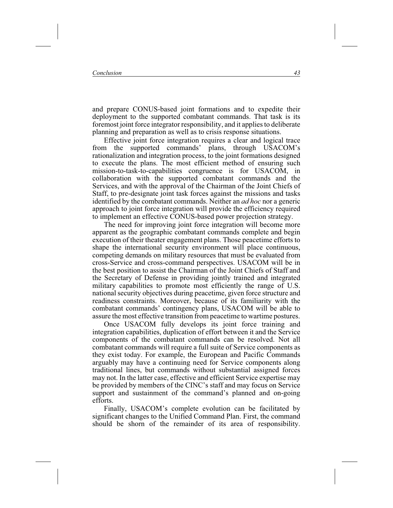and prepare CONUS-based joint formations and to expedite their deployment to the supported combatant commands. That task is its foremost joint force integrator responsibility, and it applies to deliberate planning and preparation as well as to crisis response situations.

Effective joint force integration requires a clear and logical trace<br>in the supported commands' plans, through USACOM's from the supported commands' plans, through USACOM's rationalization and integration process, to the joint formations designed to execute the plans. The most efficient method of ensuring such mission-to-task-to-capabilities congruence is for USACOM, in collaboration with the supported combatant commands and the Services, and with the approval of the Chairman of the Joint Chiefs of Staff, to pre-designate joint task forces against the missions and tasks identified by the combatant commands. Neither an *ad hoc* nor a generic approach to joint force integration will provide the efficiency required to implement an effective CONUS-based power projection strategy.

The need for improving joint force integration will become more apparent as the geographic combatant commands complete and begin execution of their theater engagement plans. Those peacetime efforts to shape the international security environment will place continuous, competing demands on military resources that must be evaluated from cross-Service and cross-command perspectives. USACOM will be in the best position to assist the Chairman of the Joint Chiefs of Staff and the Secretary of Defense in providing jointly trained and integrated military capabilities to promote most efficiently the range of U.S. national security objectives during peacetime, given force structure and readiness constraints. Moreover, because of its familiarity with the combatant commands' contingency plans, USACOM will be able to assure the most effective transition from peacetime to wartime postures.

Once USACOM fully develops its joint force training and integration capabilities, duplication of effort between it and the Service components of the combatant commands can be resolved. Not all combatant commands will require a full suite of Service components as they exist today. For example, the European and Pacific Commands arguably may have a continuing need for Service components along traditional lines, but commands without substantial assigned forces may not. In the latter case, effective and efficient Service expertise may be provided by members of the CINC's staff and may focus on Service support and sustainment of the command's planned and on-going efforts.

Finally, USACOM's complete evolution can be facilitated by significant changes to the Unified Command Plan. First, the command should be shorn of the remainder of its area of responsibility.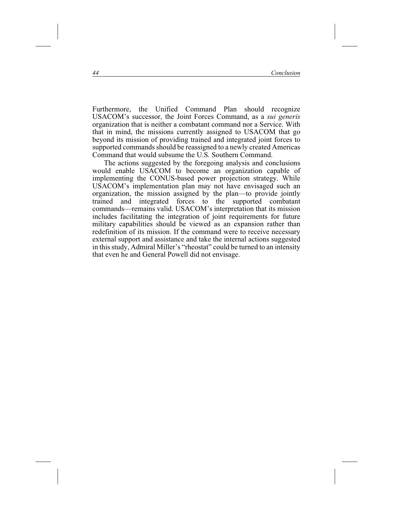Furthermore, the Unified Command Plan should recognize USACOM's successor, the Joint Forces Command, as a *sui generis* organization that is neither a combatant command nor a Service. With that in mind, the missions currently assigned to USACOM that go beyond its mission of providing trained and integrated joint forces to supported commands should be reassigned to a newly created Americas Command that would subsume the U.S. Southern Command.

The actions suggested by the foregoing analysis and conclusions would enable USACOM to become an organization capable of implementing the CONUS-based power projection strategy. While USACOM's implementation plan may not have envisaged such an organization, the mission assigned by the plan—to provide jointly trained and integrated forces to the supported combatant commands—remains valid. USACOM's interpretation that its mission includes facilitating the integration of joint requirements for future military capabilities should be viewed as an expansion rather than redefinition of its mission. If the command were to receive necessary external support and assistance and take the internal actions suggested in this study, Admiral Miller's "rheostat" could be turned to an intensity that even he and General Powell did not envisage.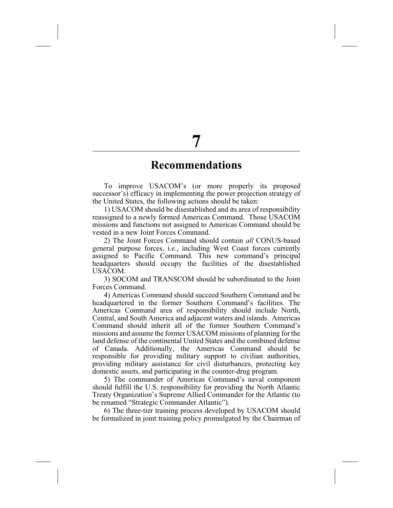# **Recommendations**

To improve USACOM's (or more properly its proposed successor's) efficacy in implementing the power projection strategy of the United States, the following actions should be taken:

1) USACOM should be disestablished and its area of responsibility reassigned to a newly formed Americas Command. Those USACOM missions and functions not assigned to Americas Command should be vested in a new Joint Forces Command.

2) The Joint Forces Command should contain *all* CONUS-based general purpose forces, i.e., including West Coast forces currently assigned to Pacific Command. This new command's principal headquarters should occupy the facilities of the disestablished USACOM.

3) SOCOM and TRANSCOM should be subordinated to the Joint Forces Command.

4) Americas Command should succeed Southern Command and be headquartered in the former Southern Command's facilities. The Americas Command area of responsibility should include North, Central, and South America and adjacent waters and islands. Americas Command should inherit all of the former Southern Command's missions and assume the former USACOM missions of planning for the land defense of the continental United States and the combined defense of Canada. Additionally, the Americas Command should be responsible for providing military support to civilian authorities, providing military assistance for civil disturbances, protecting key domestic assets, and participating in the counter-drug program.

5) The commander of Americas Command's naval component should fulfill the U.S. responsibility for providing the North Atlantic Treaty Organization's Supreme Allied Commander for the Atlantic (to be renamed "Strategic Commander Atlantic").

6) The three-tier training process developed by USACOM should be formalized in joint training policy promulgated by the Chairman of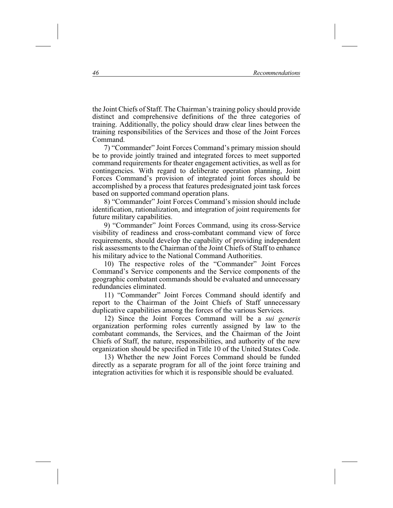the Joint Chiefs of Staff. The Chairman's training policy should provide distinct and comprehensive definitions of the three categories of training. Additionally, the policy should draw clear lines between the training responsibilities of the Services and those of the Joint Forces Command.

7) "Commander" Joint Forces Command's primary mission should be to provide jointly trained and integrated forces to meet supported command requirements for theater engagement activities, as well as for contingencies. With regard to deliberate operation planning, Joint Forces Command's provision of integrated joint forces should be accomplished by a process that features predesignated joint task forces based on supported command operation plans.

8) "Commander" Joint Forces Command's mission should include identification, rationalization, and integration of joint requirements for future military capabilities.

9) "Commander" Joint Forces Command, using its cross-Service visibility of readiness and cross-combatant command view of force requirements, should develop the capability of providing independent risk assessments to the Chairman of the Joint Chiefs of Staff to enhance his military advice to the National Command Authorities.

10) The respective roles of the "Commander" Joint Forces Command's Service components and the Service components of the geographic combatant commands should be evaluated and unnecessary redundancies eliminated.

11) "Commander" Joint Forces Command should identify and report to the Chairman of the Joint Chiefs of Staff unnecessary duplicative capabilities among the forces of the various Services.

12) Since the Joint Forces Command will be a *sui generis* organization performing roles currently assigned by law to the combatant commands, the Services, and the Chairman of the Joint Chiefs of Staff, the nature, responsibilities, and authority of the new organization should be specified in Title 10 of the United States Code.

13) Whether the new Joint Forces Command should be funded directly as a separate program for all of the joint force training and integration activities for which it is responsible should be evaluated.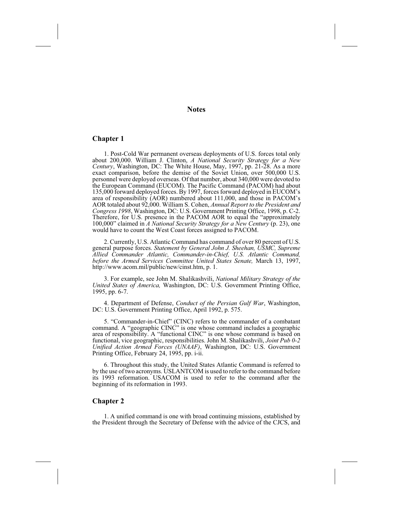**Notes**

#### **Chapter 1**

1. Post-Cold War permanent overseas deployments of U.S. forces total only about 200,000. William J. Clinton, *A National Security Strategy for a New Century*, Washington, DC: The White House, May, 1997, pp. 21-28. As a more exact comparison, before the demise of the Soviet Union, over 500,000 U.S. personnel were deployed overseas. Of that number, about 340,000 were devoted to the European Command (EUCOM). The Pacific Command (PACOM) had about 135,000 forward deployed forces. By 1997, forces forward deployed in EUCOM's area of responsibility (AOR) numbered about 111,000, and those in PACOM's AOR totaled about 92,000. William S. Cohen, *Annual Report to the President and Congress 1998*, Washington, DC: U.S. Government Printing Office, 1998, p. C-2. Therefore, for U.S. presence in the PACOM AOR to equal the "approximately 100,000" claimed in *A National Security Strategy for a New Century* (p. 23), one would have to count the West Coast forces assigned to PACOM.

2. Currently, U.S. Atlantic Command has command of over 80 percent of U.S. general purpose forces. *Statement by General John J. Sheehan, USMC, Supreme Allied Commander Atlantic, Commander-in-Chief, U.S. Atlantic Command, before the Armed Services Committee United States Senate,* March 13, 1997, http://www.acom.mil/public/new/cinst.htm, p. 1.

3. For example, see John M. Shalikashvili, *National Military Strategy of the United States of America,* Washington, DC: U.S. Government Printing Office, 1995, pp. 6-7.

4. Department of Defense, *Conduct of the Persian Gulf War*, Washington, DC: U.S. Government Printing Office, April 1992, p. 575.

5. "Commander-in-Chief" (CINC) refers to the commander of a combatant command. A "geographic CINC" is one whose command includes a geographic area of responsibility. A "functional CINC" is one whose command is based on functional, vice geographic, responsibilities. John M. Shalikashvili, *Joint Pub 0-2 Unified Action Armed Forces (UNAAF)*, Washington, DC: U.S. Government Printing Office, February 24, 1995, pp. i-ii.

6. Throughout this study, the United States Atlantic Command is referred to by the use of two acronyms. USLANTCOM is used to refer to the command before its 1993 reformation. USACOM is used to refer to the command after the beginning of its reformation in 1993.

#### **Chapter 2**

1. A unified command is one with broad continuing missions, established by the President through the Secretary of Defense with the advice of the CJCS, and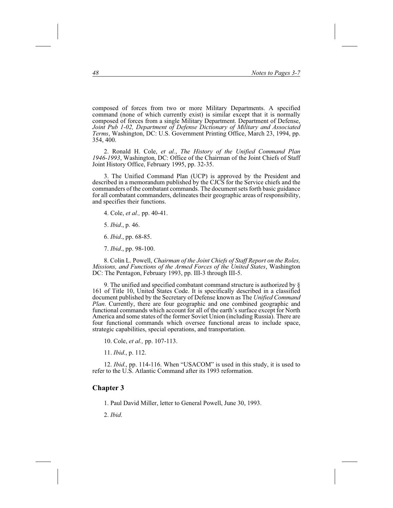composed of forces from two or more Military Departments. A specified command (none of which currently exist) is similar except that it is normally composed of forces from a single Military Department. Department of Defense, *Joint Pub 1-02, Department of Defense Dictionary of Military and Associated Terms*, Washington, DC: U.S. Government Printing Office, March 23, 1994, pp. 354, 400.

2. Ronald H. Cole, *et al.*, *The History of the Unified Command Plan 1946-1993*, Washington, DC: Office of the Chairman of the Joint Chiefs of Staff Joint History Office, February 1995, pp. 32-35.

3. The Unified Command Plan (UCP) is approved by the President and described in a memorandum published by the CJCS for the Service chiefs and the commanders of the combatant commands. The document sets forth basic guidance for all combatant commanders, delineates their geographic areas of responsibility, and specifies their functions.

4. Cole, *et al.,* pp. 40-41.

5. *Ibid*., p. 46.

6. *Ibid*., pp. 68-85.

7. *Ibid*., pp. 98-100.

8. Colin L. Powell, *Chairman of the Joint Chiefs of Staff Report on the Roles, Missions, and Functions of the Armed Forces of the United States*, Washington DC: The Pentagon, February 1993, pp. III-3 through III-5.

9. The unified and specified combatant command structure is authorized by § 161 of Title 10, United States Code. It is specifically described in a classified document published by the Secretary of Defense known as The *Unified Command Plan*. Currently, there are four geographic and one combined geographic and functional commands which account for all of the earth's surface except for North America and some states of the former Soviet Union (including Russia). There are four functional commands which oversee functional areas to include space, strategic capabilities, special operations, and transportation.

10. Cole, *et al.,* pp. 107-113.

11. *Ibid*., p. 112.

12. *Ibid*., pp. 114-116. When "USACOM" is used in this study, it is used to refer to the U.S. Atlantic Command after its 1993 reformation.

## **Chapter 3**

1. Paul David Miller, letter to General Powell, June 30, 1993.

2. *Ibid*.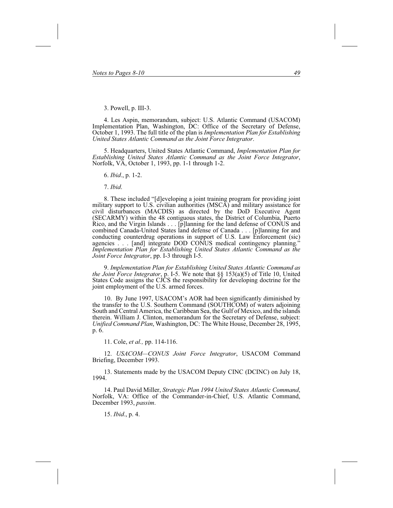3. Powell, p. III-3.

4. Les Aspin, memorandum, subject: U.S. Atlantic Command (USACOM) Implementation Plan, Washington, DC: Office of the Secretary of Defense, October 1, 1993. The full title of the plan is *Implementation Plan for Establishing United States Atlantic Command as the Joint Force Integrator*.

5. Headquarters, United States Atlantic Command, *Implementation Plan for Establishing United States Atlantic Command as the Joint Force Integrator*, Norfolk, VA, October 1, 1993, pp. 1-1 through 1-2.

6. *Ibid*., p. 1-2.

7. *Ibid*.

8. These included "[d]eveloping a joint training program for providing joint military support to U.S. civilian authorities (MSCA) and military assistance for civil disturbances (MACDIS) as directed by the DoD Executive Agent (SECARMY) within the 48 contiguous states, the District of Columbia, Puerto Rico, and the Virgin Islands... [p]lanning for the land defense of CONUS and combined Canada-United States land defense of Canada... [p]lanning for and conducting counterdrug operations in support of U.S. Law Enforcement (sic) agencies... [and] integrate DOD CONUS medical contingency planning." *Implementation Plan for Establishing United States Atlantic Command as the Joint Force Integrator*, pp. I-3 through I-5.

9. *Implementation Plan for Establishing United States Atlantic Command as the Joint Force Integrator*, p. I-5. We note that §§ 153(a)(5) of Title 10, United States Code assigns the CJCS the responsibility for developing doctrine for the joint employment of the U.S. armed forces.

10. By June 1997, USACOM's AOR had been significantly diminished by the transfer to the U.S. Southern Command (SOUTHCOM) of waters adjoining South and Central America, the Caribbean Sea, the Gulf of Mexico, and the islands therein. William J. Clinton, memorandum for the Secretary of Defense, subject: *Unified Command Plan*, Washington, DC: The White House, December 28, 1995, p. 6.

11. Cole, *et al.,* pp. 114-116.

12. *USACOM—CONUS Joint Force Integrator*, USACOM Command Briefing, December 1993.

13. Statements made by the USACOM Deputy CINC (DCINC) on July 18, 1994.

14. Paul David Miller, *Strategic Plan 1994 United States Atlantic Command*, Norfolk, VA: Office of the Commander-in-Chief, U.S. Atlantic Command, December 1993, *passim*.

15. *Ibid*., p. 4.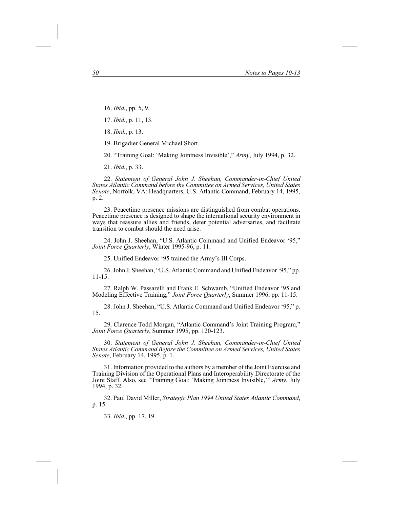16. *Ibid.*, pp. 5, 9.

17. *Ibid.*, p. 11, 13.

18. *Ibid.*, p. 13.

19. Brigadier General Michael Short.

20. "Training Goal: 'Making Jointness Invisible'," *Army*, July 1994, p. 32.

21. *Ibid.*, p. 33.

22. *Statement of General John J. Sheehan, Commander-in-Chief United States Atlantic Command before the Committee on Armed Services, United States Senate*, Norfolk, VA: Headquarters, U.S. Atlantic Command, February 14, 1995, p. 2.

23. Peacetime presence missions are distinguished from combat operations. Peacetime presence is designed to shape the international security environment in ways that reassure allies and friends, deter potential adversaries, and facilitate transition to combat should the need arise.

24. John J. Sheehan, "U.S. Atlantic Command and Unified Endeavor '95," *Joint Force Quarterly*, Winter 1995-96, p. 11.

25. Unified Endeavor '95 trained the Army's III Corps.

26. John J. Sheehan, "U.S. Atlantic Command and Unified Endeavor '95," pp. 11-15.

27. Ralph W. Passarelli and Frank E. Schwamb, "Unified Endeavor '95 and Modeling Effective Training," *Joint Force Quarterly*, Summer 1996, pp. 11-15.

28. John J. Sheehan, "U.S. Atlantic Command and Unified Endeavor '95," p. 15.

29. Clarence Todd Morgan, "Atlantic Command's Joint Training Program," *Joint Force Quarterly*, Summer 1995, pp. 120-123.

30. *Statement of General John J. Sheehan, Commander-in-Chief United States Atlantic Command Before the Committee on Armed Services, United States Senate*, February 14, 1995, p. 1.

31. Information provided to the authors by a member of the Joint Exercise and Training Division of the Operational Plans and Interoperability Directorate of the Joint Staff. Also, see "Training Goal: 'Making Jointness Invisible,'" *Army*, July 1994, p. 32.

32. Paul David Miller, *Strategic Plan 1994 United States Atlantic Command*, p. 15.

33. *Ibid.*, pp. 17, 19.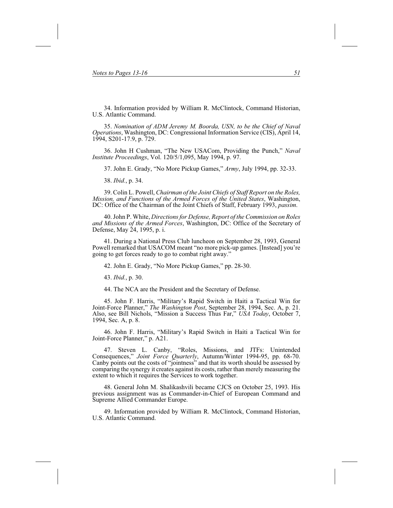34. Information provided by William R. McClintock, Command Historian, U.S. Atlantic Command.

35. *Nomination of ADM Jeremy M. Boorda, USN, to be the Chief of Naval Operations*, Washington, DC: Congressional Information Service (CIS), April 14, 1994, S201-17.9, p. 729.

36. John H Cushman, "The New USACom, Providing the Punch," *Naval Institute Proceedings*, Vol. 120/5/1,095, May 1994, p. 97.

37. John E. Grady, "No More Pickup Games," *Army*, July 1994, pp. 32-33.

38. *Ibid.*, p. 34.

39. Colin L. Powell, *Chairman of the Joint Chiefs of Staff Report on the Roles, Mission, and Functions of the Armed Forces of the United States*, Washington, DC: Office of the Chairman of the Joint Chiefs of Staff, February 1993, *passim*.

40. John P. White, *Directions for Defense, Report of the Commission on Roles and Missions of the Armed Forces*, Washington, DC: Office of the Secretary of Defense, May 24, 1995, p. i.

41. During a National Press Club luncheon on September 28, 1993, General Powell remarked that USACOM meant "no more pick-up games. [Instead] you're going to get forces ready to go to combat right away."

42. John E. Grady, "No More Pickup Games," pp. 28-30.

43. *Ibid.*, p. 30.

44. The NCA are the President and the Secretary of Defense.

45. John F. Harris, "Military's Rapid Switch in Haiti a Tactical Win for Joint-Force Planner," *The Washington Post*, September 28, 1994, Sec. A, p. 21. Also, see Bill Nichols, "Mission a Success Thus Far," *USA Today*, October 7, 1994, Sec. A, p. 8.

46. John F. Harris, "Military's Rapid Switch in Haiti a Tactical Win for Joint-Force Planner," p. A21.

47. Steven L. Canby, "Roles, Missions, and JTFs: Unintended Consequences," *Joint Force Quarterly*, Autumn/Winter 1994-95, pp. 68-70. Canby points out the costs of "jointness" and that its worth should be assessed by comparing the synergy it creates against its costs, rather than merely measuring the extent to which it requires the Services to work together.

48. General John M. Shalikashvili became CJCS on October 25, 1993. His previous assignment was as Commander-in-Chief of European Command and Supreme Allied Commander Europe.

49. Information provided by William R. McClintock, Command Historian, U.S. Atlantic Command.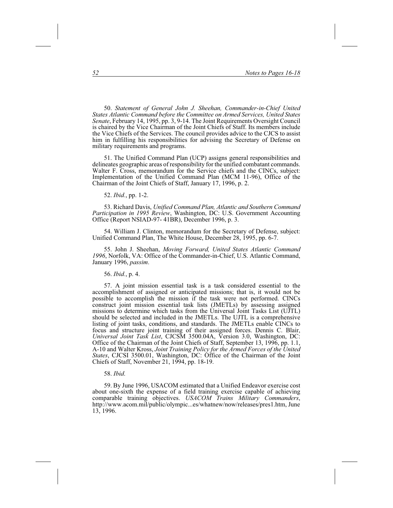50. *Statement of General John J. Sheehan, Commander-in-Chief United States Atlantic Command before the Committee on Armed Services, United States Senate*, February 14, 1995, pp. 3, 9-14. The Joint Requirements Oversight Council is chaired by the Vice Chairman of the Joint Chiefs of Staff. Its members include the Vice Chiefs of the Services. The council provides advice to the CJCS to assist him in fulfilling his responsibilities for advising the Secretary of Defense on military requirements and programs.

51. The Unified Command Plan (UCP) assigns general responsibilities and delineates geographic areas of responsibility for the unified combatant commands. Walter F. Cross, memorandum for the Service chiefs and the CINCs, subject: Implementation of the Unified Command Plan (MCM 11-96), Office of the Chairman of the Joint Chiefs of Staff, January 17, 1996, p. 2.

52. *Ibid.*, pp. 1-2.

53. Richard Davis, *Unified Command Plan, Atlantic and Southern Command Participation in 1995 Review*, Washington, DC: U.S. Government Accounting Office (Report NSIAD-97- 41BR), December 1996, p. 3.

54. William J. Clinton, memorandum for the Secretary of Defense, subject: Unified Command Plan, The White House, December 28, 1995, pp. 6-7.

55. John J. Sheehan, *Moving Forward, United States Atlantic Command 1996*, Norfolk, VA: Office of the Commander-in-Chief, U.S. Atlantic Command, January 1996, *passim*.

56. *Ibid.*, p. 4.

57. A joint mission essential task is a task considered essential to the accomplishment of assigned or anticipated missions; that is, it would not be possible to accomplish the mission if the task were not performed. CINCs construct joint mission essential task lists (JMETLs) by assessing assigned missions to determine which tasks from the Universal Joint Tasks List (UJTL) should be selected and included in the JMETLs. The UJTL is a comprehensive listing of joint tasks, conditions, and standards. The JMETLs enable CINCs to focus and structure joint training of their assigned forces. Dennis C. Blair, *Universal Joint Task List*, CJCSM 3500.04A, Version 3.0, Washington, DC: Office of the Chairman of the Joint Chiefs of Staff, September 13, 1996, pp. 1.1, A-10 and Walter Kross, *Joint Training Policy for the Armed Forces of the United States*, CJCSI 3500.01, Washington, DC: Office of the Chairman of the Joint Chiefs of Staff, November 21, 1994, pp. 18-19.

58. *Ibid*.

59. By June 1996, USACOM estimated that a Unified Endeavor exercise cost about one-sixth the expense of a field training exercise capable of achieving comparable training objectives. *USACOM Trains Military Commanders*, http://www.acom.mil/public/olympic...es/whatnew/now/releases/pres1.htm, June 13, 1996.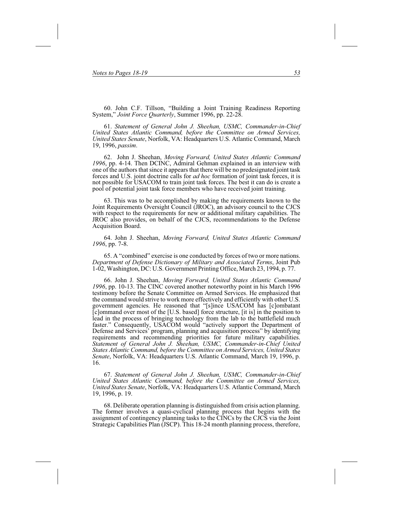60. John C.F. Tillson, "Building a Joint Training Readiness Reporting System," *Joint Force Quarterly*, Summer 1996, pp. 22-28.

61. *Statement of General John J. Sheehan, USMC, Commander-in-Chief United States Atlantic Command, before the Committee on Armed Services, United States Senate*, Norfolk, VA: Headquarters U.S. Atlantic Command, March 19, 1996, *passim*.

62. John J. Sheehan, *Moving Forward, United States Atlantic Command 1996*, pp. 4-14. Then DCINC, Admiral Gehman explained in an interview with one of the authors that since it appears that there will be no predesignated joint task forces and U.S. joint doctrine calls for *ad hoc* formation of joint task forces, it is not possible for USACOM to train joint task forces. The best it can do is create a pool of potential joint task force members who have received joint training.

63. This was to be accomplished by making the requirements known to the Joint Requirements Oversight Council (JROC), an advisory council to the CJCS with respect to the requirements for new or additional military capabilities. The JROC also provides, on behalf of the CJCS, recommendations to the Defense Acquisition Board.

64. John J. Sheehan, *Moving Forward, United States Atlantic Command 1996*, pp. 7-8.

65. A "combined" exercise is one conducted by forces of two or more nations. *Department of Defense Dictionary of Military and Associated Terms*, Joint Pub 1-02, Washington, DC: U.S. Government Printing Office, March 23, 1994, p. 77.

66. John J. Sheehan, *Moving Forward, United States Atlantic Command 1996*, pp. 10-13. The CINC covered another noteworthy point in his March 1996 testimony before the Senate Committee on Armed Services. He emphasized that the command would strive to work more effectively and efficiently with other U.S. government agencies. He reasoned that "[s]ince USACOM has [c]ombatant [c]ommand over most of the [U.S. based] force structure, [it is] in the position to lead in the process of bringing technology from the lab to the battlefield much faster." Consequently, USACOM would "actively support the Department of Defense and Services' program, planning and acquisition process" by identifying requirements and recommending priorities for future military capabilities. *Statement of General John J. Sheehan, USMC, Commander-in-Chief United States Atlantic Command, before the Committee on Armed Services, United States Senate*, Norfolk, VA: Headquarters U.S. Atlantic Command, March 19, 1996, p. 16.

67. *Statement of General John J. Sheehan, USMC, Commander-in-Chief United States Atlantic Command, before the Committee on Armed Services, United States Senate*, Norfolk, VA: Headquarters U.S. Atlantic Command, March 19, 1996, p. 19.

68. Deliberate operation planning is distinguished from crisis action planning. The former involves a quasi-cyclical planning process that begins with the assignment of contingency planning tasks to the CINCs by the CJCS via the Joint Strategic Capabilities Plan (JSCP). This 18-24 month planning process, therefore,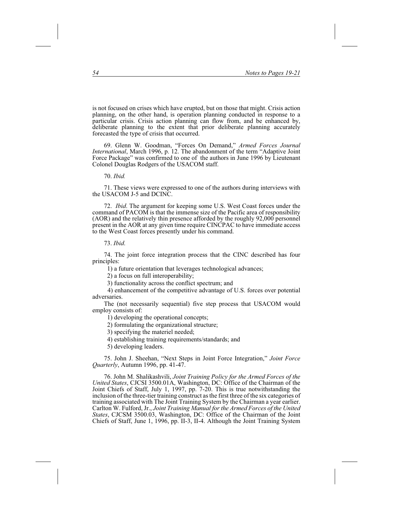is not focused on crises which have erupted, but on those that might. Crisis action planning, on the other hand, is operation planning conducted in response to a particular crisis. Crisis action planning can flow from, and be enhanced by, deliberate planning to the extent that prior deliberate planning accurately forecasted the type of crisis that occurred.

69. Glenn W. Goodman, "Forces On Demand," *Armed Forces Journal International*, March 1996, p. 12. The abandonment of the term "Adaptive Joint Force Package" was confirmed to one of the authors in June 1996 by Lieutenant Colonel Douglas Rodgers of the USACOM staff.

#### 70. *Ibid.*

71. These views were expressed to one of the authors during interviews with the USACOM J-5 and DCINC.

72. *Ibid*. The argument for keeping some U.S. West Coast forces under the command of PACOM is that the immense size of the Pacific area of responsibility (AOR) and the relatively thin presence afforded by the roughly 92,000 personnel present in the AOR at any given time require CINCPAC to have immediate access to the West Coast forces presently under his command.

#### 73. *Ibid*.

74. The joint force integration process that the CINC described has four principles:

1) a future orientation that leverages technological advances;

2) a focus on full interoperability;

3) functionality across the conflict spectrum; and

4) enhancement of the competitive advantage of U.S. forces over potential adversaries.

The (not necessarily sequential) five step process that USACOM would employ consists of:

1) developing the operational concepts;

2) formulating the organizational structure;

3) specifying the materiel needed;

4) establishing training requirements/standards; and

5) developing leaders.

75. John J. Sheehan, "Next Steps in Joint Force Integration," *Joint Force Quarterly*, Autumn 1996, pp. 41-47.

76. John M. Shalikashvili, *Joint Training Policy for the Armed Forces of the United States*, CJCSI 3500.01A, Washington, DC: Office of the Chairman of the Joint Chiefs of Staff, July 1, 1997, pp. 7-20. This is true notwithstanding the inclusion of the three-tier training construct as the first three of the six categories of training associated with The Joint Training System by the Chairman a year earlier. Carlton W. Fulford, Jr., *Joint Training Manual for the Armed Forces of the United States*, CJCSM 3500.03, Washington, DC: Office of the Chairman of the Joint Chiefs of Staff, June 1, 1996, pp. II-3, II-4. Although the Joint Training System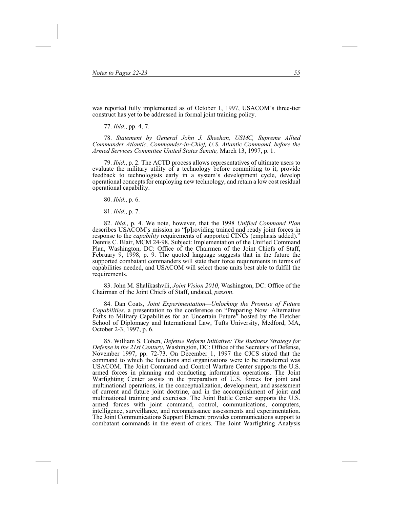was reported fully implemented as of October 1, 1997, USACOM's three-tier construct has yet to be addressed in formal joint training policy.

77. *Ibid.*, pp. 4, 7.

78. *Statement by General John J. Sheehan, USMC, Supreme Allied Commander Atlantic, Commander-in-Chief, U.S. Atlantic Command, before the Armed Services Committee United States Senate,* March 13, 1997, p. 1.

79. *Ibid.*, p. 2. The ACTD process allows representatives of ultimate users to evaluate the military utility of a technology before committing to it, provide feedback to technologists early in a system's development cycle, develop operational concepts for employing new technology, and retain a low cost residual operational capability.

80. *Ibid.*, p. 6.

81. *Ibid.*, p. 7.

82. *Ibid.*, p. 4. We note, however, that the 1998 *Unified Command Plan* describes USACOM's mission as "[p]roviding trained and ready joint forces in response to the *capability* requirements of supported CINCs (emphasis added)." Dennis C. Blair, MCM 24-98, Subject: Implementation of the Unified Command Plan, Washington, DC: Office of the Chairmen of the Joint Chiefs of Staff, February 9, 1998, p. 9. The quoted language suggests that in the future the supported combatant commanders will state their force requirements in terms of capabilities needed, and USACOM will select those units best able to fulfill the requirements.

83. John M. Shalikashvili, *Joint Vision 2010*, Washington, DC: Office of the Chairman of the Joint Chiefs of Staff, undated, *passim*.

84. Dan Coats, *Joint Experimentation—Unlocking the Promise of Future Capabilities*, a presentation to the conference on "Preparing Now: Alternative Paths to Military Capabilities for an Uncertain Future" hosted by the Fletcher School of Diplomacy and International Law, Tufts University, Medford, MA, October 2-3, 1997, p. 6.

85. William S. Cohen, *Defense Reform Initiative: The Business Strategy for Defense in the 21st Century*, Washington, DC: Office of the Secretary of Defense, November 1997, pp. 72-73. On December 1, 1997 the CJCS stated that the command to which the functions and organizations were to be transferred was USACOM. The Joint Command and Control Warfare Center supports the U.S. armed forces in planning and conducting information operations. The Joint Warfighting Center assists in the preparation of U.S. forces for joint and multinational operations, in the conceptualization, development, and assessment of current and future joint doctrine, and in the accomplishment of joint and multinational training and exercises. The Joint Battle Center supports the U.S. armed forces with joint command, control, communications, computers, intelligence, surveillance, and reconnaissance assessments and experimentation. The Joint Communications Support Element provides communications support to combatant commands in the event of crises. The Joint Warfighting Analysis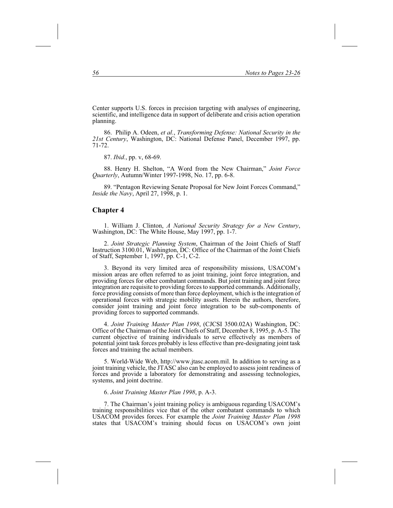Center supports U.S. forces in precision targeting with analyses of engineering, scientific, and intelligence data in support of deliberate and crisis action operation planning.

86. Philip A. Odeen, *et al.*, *Transforming Defense: National Security in the 21st Century*, Washington, DC: National Defense Panel, December 1997, pp. 71-72.

87. *Ibid.*, pp. v, 68-69.

88. Henry H. Shelton, "A Word from the New Chairman," *Joint Force Quarterly*, Autumn/Winter 1997-1998, No. 17, pp. 6-8.

89. "Pentagon Reviewing Senate Proposal for New Joint Forces Command," *Inside the Navy*, April 27, 1998, p. 1.

#### **Chapter 4**

1. William J. Clinton, *A National Security Strategy for a New Century*, Washington, DC: The White House, May 1997, pp. 1-7.

2. *Joint Strategic Planning System*, Chairman of the Joint Chiefs of Staff Instruction 3100.01, Washington, DC: Office of the Chairman of the Joint Chiefs of Staff, September 1, 1997, pp. C-1, C-2.

3. Beyond its very limited area of responsibility missions, USACOM's mission areas are often referred to as joint training, joint force integration, and providing forces for other combatant commands. But joint training and joint force integration are requisite to providing forces to supported commands. Additionally, force providing consists of more than force deployment, which is the integration of operational forces with strategic mobility assets. Herein the authors, therefore, consider joint training and joint force integration to be sub-components of providing forces to supported commands.

4. *Joint Training Master Plan 1998*, (CJCSI 3500.02A) Washington, DC: Office of the Chairman of the Joint Chiefs of Staff, December 8, 1995, p. A-5. The current objective of training individuals to serve effectively as members of potential joint task forces probably is less effective than pre-designating joint task forces and training the actual members.

5. World-Wide Web, http://www.jtasc.acom.mil. In addition to serving as a joint training vehicle, the JTASC also can be employed to assess joint readiness of forces and provide a laboratory for demonstrating and assessing technologies, systems, and joint doctrine.

#### 6. *Joint Training Master Plan 1998*, p. A-3.

7. The Chairman's joint training policy is ambiguous regarding USACOM's training responsibilities vice that of the other combatant commands to which USACOM provides forces. For example the *Joint Training Master Plan 1998* states that USACOM's training should focus on USACOM's own joint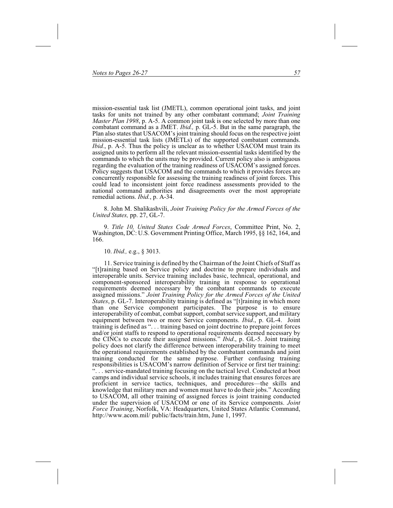mission-essential task list (JMETL), common operational joint tasks, and joint tasks for units not trained by any other combatant command; *Joint Training Master Plan 1998*, p. A-5. A common joint task is one selected by more than one combatant command as a JMET. *Ibid.,* p. GL-5. But in the same paragraph, the Plan also states that USACOM's joint training should focus on the respective joint mission-essential task lists (JMETLs) of the supported combatant commands. *Ibid.*, p. A-5. Thus the policy is unclear as to whether USACOM must train its assigned units to perform all the relevant mission-essential tasks identified by the commands to which the units may be provided. Current policy also is ambiguous regarding the evaluation of the training readiness of USACOM's assigned forces. Policy suggests that USACOM and the commands to which it provides forces are concurrently responsible for assessing the training readiness of joint forces. This could lead to inconsistent joint force readiness assessments provided to the national command authorities and disagreements over the most appropriate remedial actions. *Ibid.*, p. A-34.

8. John M. Shalikashvili, *Joint Training Policy for the Armed Forces of the United States,* pp. 27, GL-7.

9. *Title 10, United States Code Armed Forces*, Committee Print, No. 2, Washington, DC: U.S. Government Printing Office, March 1995, §§ 162, 164, and 166.

10. *Ibid.,* e.g., § 3013.

11. Service training is defined by the Chairman of the Joint Chiefs of Staff as "[t]raining based on Service policy and doctrine to prepare individuals and interoperable units. Service training includes basic, technical, operational, and component-sponsored interoperability training in response to operational requirements deemed necessary by the combatant commands to execute assigned missions." *Joint Training Policy for the Armed Forces of the United States*, p. GL-7. Interoperability training is defined as "[t]raining in which more than one Service component participates. The purpose is to ensure interoperability of combat, combat support, combat service support, and military equipment between two or more Service components. *Ibid*., p. GL-4. Joint training is defined as ". . . training based on joint doctrine to prepare joint forces and/or joint staffs to respond to operational requirements deemed necessary by the CINCs to execute their assigned missions." *Ibid*., p. GL-5. Joint training policy does not clarify the difference between interoperability training to meet the operational requirements established by the combatant commands and joint training conducted for the same purpose. Further confusing training responsibilities is USACOM's narrow definition of Service or first tier training: ". . . service-mandated training focusing on the tactical level. Conducted at boot camps and individual service schools, it includes training that ensures forces are proficient in service tactics, techniques, and procedures—the skills and knowledge that military men and women must have to do their jobs." According to USACOM, all other training of assigned forces is joint training conducted under the supervision of USACOM or one of its Service components. *Joint Force Training*, Norfolk, VA: Headquarters, United States Atlantic Command, http://www.acom.mil/ public/facts/train.htm, June 1, 1997.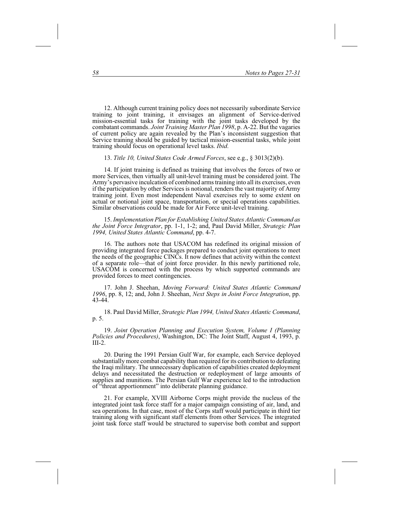12. Although current training policy does not necessarily subordinate Service training to joint training, it envisages an alignment of Service-derived mission-essential tasks for training with the joint tasks developed by the combatant commands. *Joint Training Master Plan 1998*, p. A-22. But the vagaries of current policy are again revealed by the Plan's inconsistent suggestion that Service training should be guided by tactical mission-essential tasks, while joint training should focus on operational level tasks. *Ibid*.

13. *Title 10, United States Code Armed Forces*, see e.g., § 3013(2)(b).

14. If joint training is defined as training that involves the forces of two or more Services, then virtually all unit-level training must be considered joint. The Army's pervasive inculcation of combined arms training into all its exercises, even if the participation by other Services is notional, renders the vast majority of Army training joint. Even most independent Naval exercises rely to some extent on actual or notional joint space, transportation, or special operations capabilities. Similar observations could be made for Air Force unit-level training.

15. *Implementation Plan for Establishing United States Atlantic Command as the Joint Force Integrator*, pp. 1-1, 1-2; and, Paul David Miller, *Strategic Plan 1994, United States Atlantic Command*, pp. 4-7.

16. The authors note that USACOM has redefined its original mission of providing integrated force packages prepared to conduct joint operations to meet the needs of the geographic CINCs. It now defines that activity within the context of a separate role—that of joint force provider. In this newly partitioned role, USACOM is concerned with the process by which supported commands are provided forces to meet contingencies.

17. John J. Sheehan, *Moving Forward: United States Atlantic Command 1996*, pp. 8, 12; and, John J. Sheehan, *Next Steps in Joint Force Integration*, pp. 43-44.

18. Paul David Miller, *Strategic Plan 1994, United States Atlantic Command*, p. 5.

19. *Joint Operation Planning and Execution System, Volume I (Planning Policies and Procedures)*, Washington, DC: The Joint Staff, August 4, 1993, p.  $III-2.$ 

20. During the 1991 Persian Gulf War, for example, each Service deployed substantially more combat capability than required for its contribution to defeating the Iraqi military. The unnecessary duplication of capabilities created deployment delays and necessitated the destruction or redeployment of large amounts of supplies and munitions. The Persian Gulf War experience led to the introduction of "threat apportionment" into deliberate planning guidance.

21. For example, XVIII Airborne Corps might provide the nucleus of the integrated joint task force staff for a major campaign consisting of air, land, and sea operations. In that case, most of the Corps staff would participate in third tier training along with significant staff elements from other Services. The integrated joint task force staff would be structured to supervise both combat and support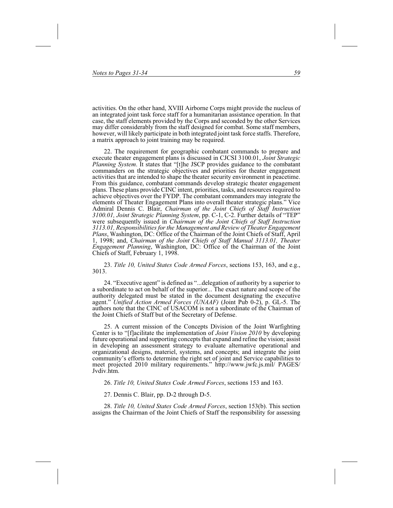activities. On the other hand, XVIII Airborne Corps might provide the nucleus of an integrated joint task force staff for a humanitarian assistance operation. In that case, the staff elements provided by the Corps and seconded by the other Services may differ considerably from the staff designed for combat. Some staff members, however, will likely participate in both integrated joint task force staffs. Therefore, a matrix approach to joint training may be required.

22. The requirement for geographic combatant commands to prepare and execute theater engagement plans is discussed in CJCSI 3100.01, *Joint Strategic Planning System*. It states that "[t]he JSCP provides guidance to the combatant commanders on the strategic objectives and priorities for theater engagement activities that are intended to shape the theater security environment in peacetime. From this guidance, combatant commands develop strategic theater engagement plans. These plans provide CINC intent, priorities, tasks, and resources required to achieve objectives over the FYDP. The combatant commanders may integrate the elements of Theater Engagement Plans into overall theater strategic plans." Vice Admiral Dennis C. Blair, *Chairman of the Joint Chiefs of Staff Instruction 3100.01, Joint Strategic Planning System*, pp. C-1, C-2. Further details of "TEP" were subsequently issued in *Chairman of the Joint Chiefs of Staff Instruction 3113.01, Responsibilities for the Management and Review of Theater Engagement Plans*, Washington, DC: Office of the Chairman of the Joint Chiefs of Staff, April 1, 1998; and, *Chairman of the Joint Chiefs of Staff Manual 3113.01, Theater Engagement Planning*, Washington, DC: Office of the Chairman of the Joint Chiefs of Staff, February 1, 1998.

23. *Title 10, United States Code Armed Forces*, sections 153, 163, and e.g., 3013.

24. "Executive agent" is defined as "...delegation of authority by a superior to a subordinate to act on behalf of the superior... The exact nature and scope of the authority delegated must be stated in the document designating the executive agent." *Unified Action Armed Forces (UNAAF)* (Joint Pub 0-2), p. GL-5. The authors note that the CINC of USACOM is not a subordinate of the Chairman of the Joint Chiefs of Staff but of the Secretary of Defense.

25. A current mission of the Concepts Division of the Joint Warfighting Center is to "[f]acilitate the implementation of *Joint Vision 2010* by developing future operational and supporting concepts that expand and refine the vision; assist in developing an assessment strategy to evaluate alternative operational and organizational designs, materiel, systems, and concepts; and integrate the joint community's efforts to determine the right set of joint and Service capabilities to meet projected 2010 military requirements." http://www.jwfc.js.mil/ PAGES/ Jvdiv.htm.

26. *Title 10, United States Code Armed Forces*, sections 153 and 163.

27. Dennis C. Blair, pp. D-2 through D-5.

28. *Title 10, United States Code Armed Forces*, section 153(b). This section assigns the Chairman of the Joint Chiefs of Staff the responsibility for assessing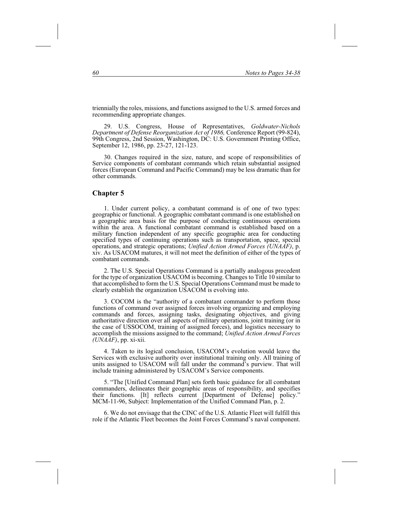triennially the roles, missions, and functions assigned to the U.S. armed forces and recommending appropriate changes.

29. U.S. Congress, House of Representatives, *Goldwater-Nichols Department of Defense Reorganization Act of 1986,* Conference Report (99-824), 99th Congress, 2nd Session, Washington, DC: U.S. Government Printing Office, September 12, 1986, pp. 23-27, 121-123.

30. Changes required in the size, nature, and scope of responsibilities of Service components of combatant commands which retain substantial assigned forces (European Command and Pacific Command) may be less dramatic than for other commands.

### **Chapter 5**

1. Under current policy, a combatant command is of one of two types: geographic or functional. A geographic combatant command is one established on a geographic area basis for the purpose of conducting continuous operations within the area. A functional combatant command is established based on a military function independent of any specific geographic area for conducting specified types of continuing operations such as transportation, space, special operations, and strategic operations; *Unified Action Armed Forces (UNAAF)*, p. xiv. As USACOM matures, it will not meet the definition of either of the types of combatant commands.

2. The U.S. Special Operations Command is a partially analogous precedent for the type of organization USACOM is becoming. Changes to Title 10 similar to that accomplished to form the U.S. Special Operations Command must be made to clearly establish the organization USACOM is evolving into.

3. COCOM is the "authority of a combatant commander to perform those functions of command over assigned forces involving organizing and employing commands and forces, assigning tasks, designating objectives, and giving authoritative direction over all aspects of military operations, joint training (or in the case of USSOCOM, training of assigned forces), and logistics necessary to accomplish the missions assigned to the command; *Unified Action Armed Forces (UNAAF)*, pp. xi-xii.

4. Taken to its logical conclusion, USACOM's evolution would leave the Services with exclusive authority over institutional training only. All training of units assigned to USACOM will fall under the command's purview. That will include training administered by USACOM's Service components.

5. "The [Unified Command Plan] sets forth basic guidance for all combatant commanders, delineates their geographic areas of responsibility, and specifies their functions. [It] reflects current [Department of Defense] policy." MCM-11-96, Subject: Implementation of the Unified Command Plan, p. 2.

6. We do not envisage that the CINC of the U.S. Atlantic Fleet will fulfill this role if the Atlantic Fleet becomes the Joint Forces Command's naval component.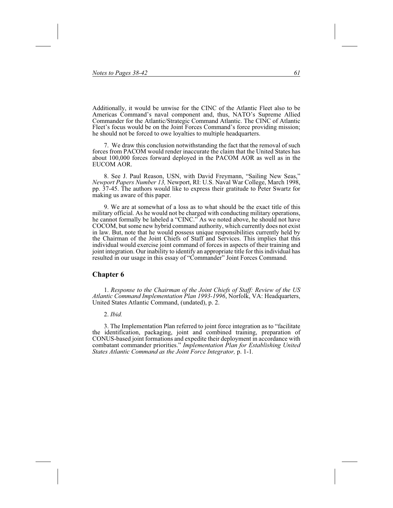Additionally, it would be unwise for the CINC of the Atlantic Fleet also to be Americas Command's naval component and, thus, NATO's Supreme Allied Commander for the Atlantic/Strategic Command Atlantic. The CINC of Atlantic Fleet's focus would be on the Joint Forces Command's force providing mission; he should not be forced to owe loyalties to multiple headquarters.

7. We draw this conclusion notwithstanding the fact that the removal of such forces from PACOM would render inaccurate the claim that the United States has about 100,000 forces forward deployed in the PACOM AOR as well as in the EUCOM AOR.

8. See J. Paul Reason, USN, with David Freymann, "Sailing New Seas," *Newport Papers Number 13,* Newport, RI: U.S. Naval War College, March 1998, pp. 37-45. The authors would like to express their gratitude to Peter Swartz for making us aware of this paper.

9. We are at somewhat of a loss as to what should be the exact title of this military official. As he would not be charged with conducting military operations, he cannot formally be labeled a "CINC." As we noted above, he should not have COCOM, but some new hybrid command authority, which currently does not exist in law. But, note that he would possess unique responsibilities currently held by the Chairman of the Joint Chiefs of Staff and Services. This implies that this individual would exercise joint command of forces in aspects of their training and joint integration. Our inability to identify an appropriate title for this individual has resulted in our usage in this essay of "Commander" Joint Forces Command.

#### **Chapter 6**

1. *Response to the Chairman of the Joint Chiefs of Staff: Review of the US Atlantic Command Implementation Plan 1993-1996*, Norfolk, VA: Headquarters, United States Atlantic Command, (undated), p. 2.

#### 2. *Ibid.*

3. The Implementation Plan referred to joint force integration as to "facilitate the identification, packaging, joint and combined training, preparation of CONUS-based joint formations and expedite their deployment in accordance with combatant commander priorities." *Implementation Plan for Establishing United States Atlantic Command as the Joint Force Integrator,* p. 1-1*.*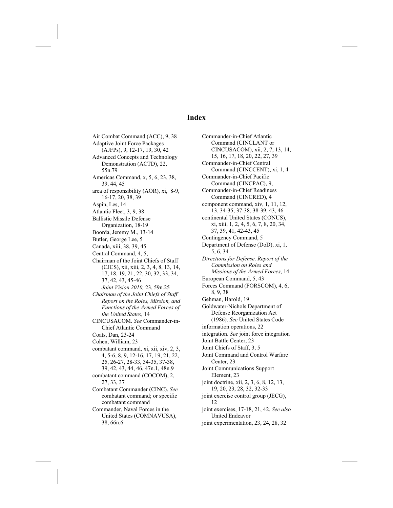# **Index**

Air Combat Command (ACC), 9, 38 Adaptive Joint Force Packages (AJFPs), 9, 12-17, 19, 30, 42 Advanced Concepts and Technology Demonstration (ACTD), 22, 55n.79 Americas Command, x, 5, 6, 23, 38, 39, 44, 45 area of responsibility (AOR), xi, 8-9, 16-17, 20, 38, 39 Aspin, Les, 14 Atlantic Fleet, 3, 9, 38 Ballistic Missile Defense Organization, 18-19 Boorda, Jeremy M., 13-14 Butler, George Lee, 5 Canada, xiii, 38, 39, 45 Central Command, 4, 5, Chairman of the Joint Chiefs of Staff (CJCS), xii, xiii, 2, 3, 4, 8, 13, 14, 17, 18, 19, 21, 22, 30, 32, 33, 34, 37, 42, 43, 45-46 *Joint Vision 2010,* 23, 59n.25 *Chairman of the Joint Chiefs of Staff Report on the Roles, Mission, and Functions of the Armed Forces of the United States*, 14 CINCUSACOM. *See* Commander-in-Chief Atlantic Command Coats, Dan, 23-24 Cohen, William, 23 combatant command, xi, xii, xiv, 2, 3, 4, 5-6, 8, 9, 12-16, 17, 19, 21, 22, 25, 26-27, 28-33, 34-35, 37-38, 39, 42, 43, 44, 46, 47n.1, 48n.9 combatant command (COCOM), 2, 27, 33, 37 Combatant Commander (CINC). *See* combatant command; or specific combatant command Commander, Naval Forces in the United States (COMNAVUSA), 38, 66n.6

Commander-in-Chief Atlantic Command (CINCLANT or CINCUSACOM), xii, 2, 7, 13, 14, 15, 16, 17, 18, 20, 22, 27, 39 Commander-in-Chief Central Command (CINCCENT), xi, 1, 4 Commander-in-Chief Pacific Command (CINCPAC), 9, Commander-in-Chief Readiness Command (CINCRED), 4 component command, xiv, 1, 11, 12, 13, 34-35, 37-38, 38-39, 43, 46 continental United States (CONUS), xi, xiii, 1, 2, 4, 5, 6, 7, 8, 20, 34, 37, 39, 41, 42-43, 45 Contingency Command, 5 Department of Defense (DoD), xi, 1, 5, 6, 34 *Directions for Defense, Report of the Commission on Roles and Missions of the Armed Forces*, 14 European Command, 5, 43 Forces Command (FORSCOM), 4, 6, 8, 9, 38 Gehman, Harold, 19 Goldwater-Nichols Department of Defense Reorganization Act (1986). *See* United States Code information operations, 22 integration. *See* joint force integration Joint Battle Center, 23 Joint Chiefs of Staff, 3, 5 Joint Command and Control Warfare Center, 23 Joint Communications Support Element, 23 joint doctrine, xii, 2, 3, 6, 8, 12, 13, 19, 20, 23, 28, 32, 32-33 joint exercise control group (JECG), 12 joint exercises, 17-18, 21, 42. *See also* United Endeavor joint experimentation, 23, 24, 28, 32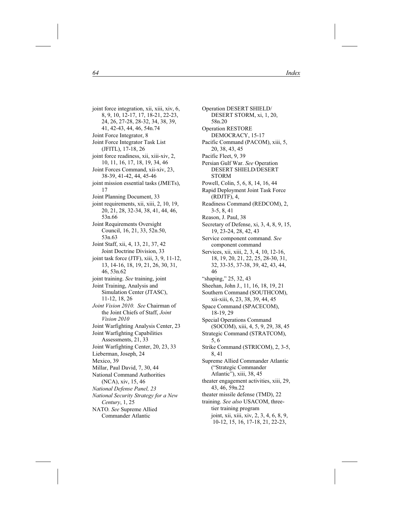joint force integration, xii, xiii, xiv, 6, 8, 9, 10, 12-17, 17, 18-21, 22-23, 24, 26, 27-28, 28-32, 34, 38, 39, 41, 42-43, 44, 46, 54n.74 Joint Force Integrator, 8 Joint Force Integrator Task List (JFITL), 17-18, 26 joint force readiness, xii, xiii-xiv, 2, 10, 11, 16, 17, 18, 19, 34, 46 Joint Forces Command, xii-xiv, 23, 38-39, 41-42, 44, 45-46 joint mission essential tasks (JMETs), 17 Joint Planning Document, 33 joint requirements, xii, xiii, 2, 10, 19, 20, 21, 28, 32-34, 38, 41, 44, 46, 53n.66 Joint Requirements Oversight Council, 16, 21, 33, 52n.50, 53n.63 Joint Staff, xii, 4, 13, 21, 37, 42 Joint Doctrine Division, 33 joint task force (JTF), xiii, 3, 9, 11-12, 13, 14-16, 18, 19, 21, 26, 30, 31, 46, 53n.62 joint training. *See* training, joint Joint Training, Analysis and Simulation Center (JTASC), 11-12, 18, 26 *Joint Vision 2010. See* Chairman of the Joint Chiefs of Staff, *Joint Vision 2010* Joint Warfighting Analysis Center, 23 Joint Warfighting Capabilities Assessments, 21, 33 Joint Warfighting Center, 20, 23, 33 Lieberman, Joseph, 24 Mexico, 39 Millar, Paul David, 7, 30, 44 National Command Authorities (NCA), xiv, 15, 46 *National Defense Panel, 23 National Security Strategy for a New Century*, 1, 25 NATO*. See* Supreme Allied Commander Atlantic

Operation DESERT SHIELD/ DESERT STORM, xi, 1, 20, 58n.20 Operation RESTORE DEMOCRACY, 15-17 Pacific Command (PACOM), xiii, 5, 20, 38, 43, 45 Pacific Fleet, 9, 39 Persian Gulf War. *See* Operation DESERT SHIELD/DESERT STORM Powell, Colin, 5, 6, 8, 14, 16, 44 Rapid Deployment Joint Task Force (RDJTF), 4, Readiness Command (REDCOM), 2, 3-5, 8, 41 Reason, J. Paul, 38 Secretary of Defense, xi, 3, 4, 8, 9, 15, 19, 23-24, 28, 42, 43 Service component command. *See* component command Services, xii, xiii, 2, 3, 4, 10, 12-16, 18, 19, 20, 21, 22, 25, 28-30, 31, 32, 33-35, 37-38, 39, 42, 43, 44, 46 "shaping," 25, 32, 43 Sheehan, John J., 11, 16, 18, 19, 21 Southern Command (SOUTHCOM), xii-xiii, 6, 23, 38, 39, 44, 45 Space Command (SPACECOM), 18-19, 29 Special Operations Command (SOCOM), xiii, 4, 5, 9, 29, 38, 45 Strategic Command (STRATCOM), 5, 6 Strike Command (STRICOM), 2, 3-5, 8, 41 Supreme Allied Commander Atlantic ("Strategic Commander Atlantic"), xiii, 38, 45 theater engagement activities, xiii, 29, 43, 46, 59n.22 theater missile defense (TMD), 22 training. *See also* USACOM, threetier training program joint, xii, xiii, xiv, 2, 3, 4, 6, 8, 9, 10-12, 15, 16, 17-18, 21, 22-23,